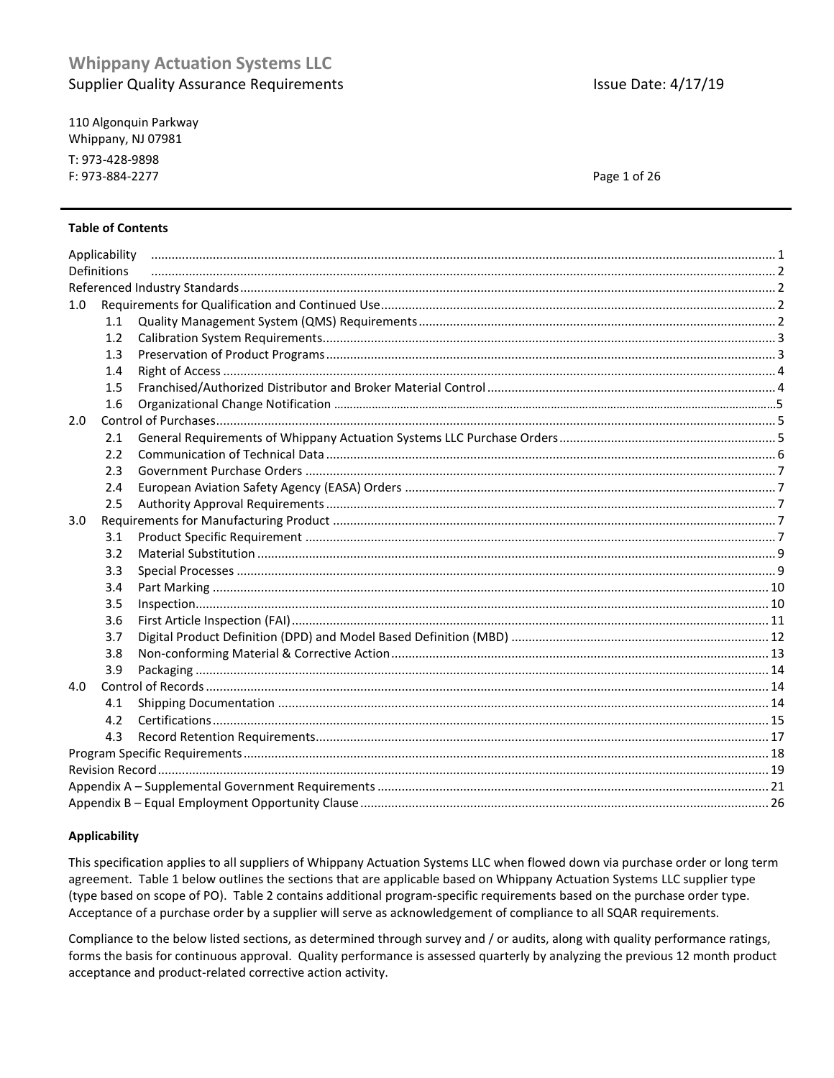110 Algonquin Parkway Whippany, NJ 07981 T: 973-428-9898 F: 973-884-2277

**Issue Date: 4/17/19** 

Page 1 of 26

### **Table of Contents**

|                  | Applicability |  |  |  |  |  |
|------------------|---------------|--|--|--|--|--|
| Definitions      |               |  |  |  |  |  |
|                  |               |  |  |  |  |  |
| 1.0              |               |  |  |  |  |  |
|                  | 1.1           |  |  |  |  |  |
|                  | 1.2           |  |  |  |  |  |
|                  | 1.3           |  |  |  |  |  |
|                  | 1.4           |  |  |  |  |  |
|                  | 1.5           |  |  |  |  |  |
|                  | 1.6           |  |  |  |  |  |
| 2.0              |               |  |  |  |  |  |
|                  | 2.1           |  |  |  |  |  |
|                  | 2.2           |  |  |  |  |  |
|                  | 2.3           |  |  |  |  |  |
|                  | 2.4           |  |  |  |  |  |
|                  | 2.5           |  |  |  |  |  |
| 3.0 <sub>2</sub> |               |  |  |  |  |  |
|                  | 3.1           |  |  |  |  |  |
|                  | 3.2           |  |  |  |  |  |
|                  | 3.3           |  |  |  |  |  |
|                  | 3.4           |  |  |  |  |  |
|                  | 3.5           |  |  |  |  |  |
|                  | 3.6           |  |  |  |  |  |
|                  | 3.7           |  |  |  |  |  |
|                  | 3.8           |  |  |  |  |  |
|                  | 3.9           |  |  |  |  |  |
| 4.0              |               |  |  |  |  |  |
|                  | 4.1           |  |  |  |  |  |
|                  | 4.2           |  |  |  |  |  |
|                  | 4.3           |  |  |  |  |  |
|                  |               |  |  |  |  |  |
|                  |               |  |  |  |  |  |
|                  |               |  |  |  |  |  |
|                  |               |  |  |  |  |  |

#### **Applicability**

This specification applies to all suppliers of Whippany Actuation Systems LLC when flowed down via purchase order or long term agreement. Table 1 below outlines the sections that are applicable based on Whippany Actuation Systems LLC supplier type (type based on scope of PO). Table 2 contains additional program-specific requirements based on the purchase order type. Acceptance of a purchase order by a supplier will serve as acknowledgement of compliance to all SQAR requirements.

Compliance to the below listed sections, as determined through survey and / or audits, along with quality performance ratings, forms the basis for continuous approval. Quality performance is assessed quarterly by analyzing the previous 12 month product acceptance and product-related corrective action activity.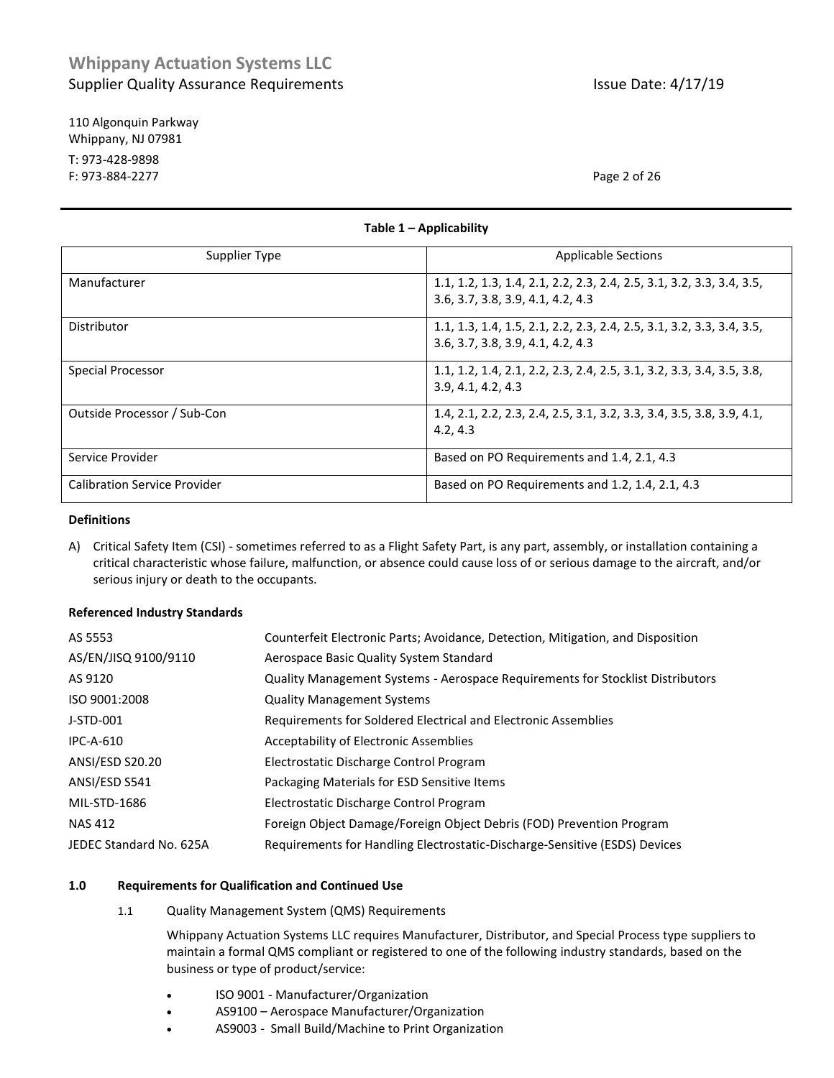110 Algonquin Parkway Whippany, NJ 07981 T: 973-428-9898 F: 973-884-2277 Page 2 of 26

| Supplier Type                       | <b>Applicable Sections</b>                                                                                 |  |  |  |
|-------------------------------------|------------------------------------------------------------------------------------------------------------|--|--|--|
| Manufacturer                        | 1.1, 1.2, 1.3, 1.4, 2.1, 2.2, 2.3, 2.4, 2.5, 3.1, 3.2, 3.3, 3.4, 3.5,<br>3.6, 3.7, 3.8, 3.9, 4.1, 4.2, 4.3 |  |  |  |
| Distributor                         | 1.1, 1.3, 1.4, 1.5, 2.1, 2.2, 2.3, 2.4, 2.5, 3.1, 3.2, 3.3, 3.4, 3.5,<br>3.6, 3.7, 3.8, 3.9, 4.1, 4.2, 4.3 |  |  |  |
| Special Processor                   | 1.1, 1.2, 1.4, 2.1, 2.2, 2.3, 2.4, 2.5, 3.1, 3.2, 3.3, 3.4, 3.5, 3.8,<br>3.9, 4.1, 4.2, 4.3                |  |  |  |
| Outside Processor / Sub-Con         | 1.4, 2.1, 2.2, 2.3, 2.4, 2.5, 3.1, 3.2, 3.3, 3.4, 3.5, 3.8, 3.9, 4.1,<br>4.2, 4.3                          |  |  |  |
| Service Provider                    | Based on PO Requirements and 1.4, 2.1, 4.3                                                                 |  |  |  |
| <b>Calibration Service Provider</b> | Based on PO Requirements and 1.2, 1.4, 2.1, 4.3                                                            |  |  |  |

**Table 1 – Applicability**

#### **Definitions**

A) Critical Safety Item (CSI) - sometimes referred to as a Flight Safety Part, is any part, assembly, or installation containing a critical characteristic whose failure, malfunction, or absence could cause loss of or serious damage to the aircraft, and/or serious injury or death to the occupants.

#### **Referenced Industry Standards**

| AS 5553                 | Counterfeit Electronic Parts; Avoidance, Detection, Mitigation, and Disposition |
|-------------------------|---------------------------------------------------------------------------------|
| AS/EN/JISQ 9100/9110    | Aerospace Basic Quality System Standard                                         |
| AS 9120                 | Quality Management Systems - Aerospace Requirements for Stocklist Distributors  |
| ISO 9001:2008           | <b>Quality Management Systems</b>                                               |
| J-STD-001               | Requirements for Soldered Electrical and Electronic Assemblies                  |
| $IPC-A-610$             | Acceptability of Electronic Assemblies                                          |
| ANSI/ESD S20.20         | Electrostatic Discharge Control Program                                         |
| ANSI/ESD S541           | Packaging Materials for ESD Sensitive Items                                     |
| MIL-STD-1686            | Electrostatic Discharge Control Program                                         |
| <b>NAS 412</b>          | Foreign Object Damage/Foreign Object Debris (FOD) Prevention Program            |
| JEDEC Standard No. 625A | Requirements for Handling Electrostatic-Discharge-Sensitive (ESDS) Devices      |
|                         |                                                                                 |

#### <span id="page-1-0"></span>**1.0 Requirements for Qualification and Continued Use**

1.1 Quality Management System (QMS) Requirements

Whippany Actuation Systems LLC requires Manufacturer, Distributor, and Special Process type suppliers to maintain a formal QMS compliant or registered to one of the following industry standards, based on the business or type of product/service:

- ISO 9001 Manufacturer/Organization
- AS9100 Aerospace Manufacturer/Organization
- AS9003 Small Build/Machine to Print Organization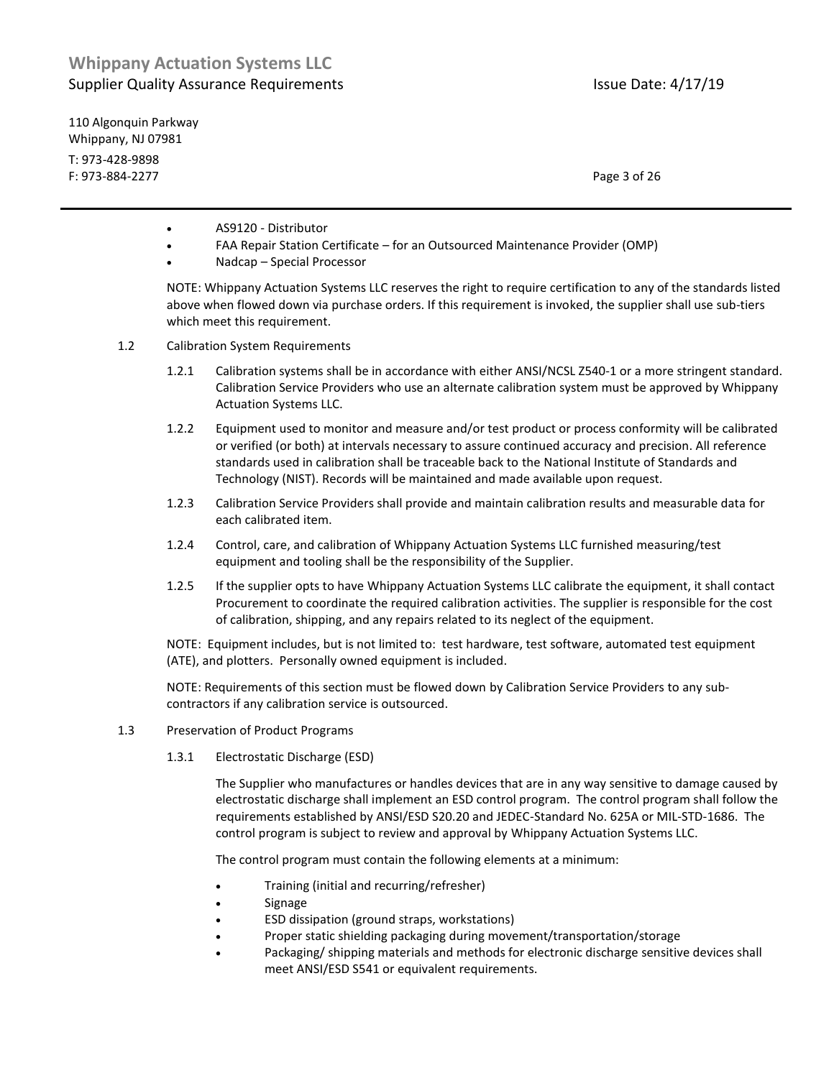110 Algonquin Parkway Whippany, NJ 07981 T: 973-428-9898 F: 973-884-2277 Page 3 of 26

- AS9120 Distributor
- FAA Repair Station Certificate for an Outsourced Maintenance Provider (OMP)
- Nadcap Special Processor

NOTE: Whippany Actuation Systems LLC reserves the right to require certification to any of the standards listed above when flowed down via purchase orders. If this requirement is invoked, the supplier shall use sub-tiers which meet this requirement.

- 1.2 Calibration System Requirements
	- 1.2.1 Calibration systems shall be in accordance with either ANSI/NCSL Z540-1 or a more stringent standard. Calibration Service Providers who use an alternate calibration system must be approved by Whippany Actuation Systems LLC.
	- 1.2.2 Equipment used to monitor and measure and/or test product or process conformity will be calibrated or verified (or both) at intervals necessary to assure continued accuracy and precision. All reference standards used in calibration shall be traceable back to the National Institute of Standards and Technology (NIST). Records will be maintained and made available upon request.
	- 1.2.3 Calibration Service Providers shall provide and maintain calibration results and measurable data for each calibrated item.
	- 1.2.4 Control, care, and calibration of Whippany Actuation Systems LLC furnished measuring/test equipment and tooling shall be the responsibility of the Supplier.
	- 1.2.5 If the supplier opts to have Whippany Actuation Systems LLC calibrate the equipment, it shall contact Procurement to coordinate the required calibration activities. The supplier is responsible for the cost of calibration, shipping, and any repairs related to its neglect of the equipment.

NOTE: Equipment includes, but is not limited to: test hardware, test software, automated test equipment (ATE), and plotters. Personally owned equipment is included.

NOTE: Requirements of this section must be flowed down by Calibration Service Providers to any subcontractors if any calibration service is outsourced.

- 1.3 Preservation of Product Programs
	- 1.3.1 Electrostatic Discharge (ESD)

The Supplier who manufactures or handles devices that are in any way sensitive to damage caused by electrostatic discharge shall implement an ESD control program. The control program shall follow the requirements established by ANSI/ESD S20.20 and JEDEC-Standard No. 625A or MIL-STD-1686. The control program is subject to review and approval by Whippany Actuation Systems LLC.

The control program must contain the following elements at a minimum:

- Training (initial and recurring/refresher)
- Signage
- ESD dissipation (ground straps, workstations)
- Proper static shielding packaging during movement/transportation/storage
- Packaging/ shipping materials and methods for electronic discharge sensitive devices shall meet ANSI/ESD S541 or equivalent requirements.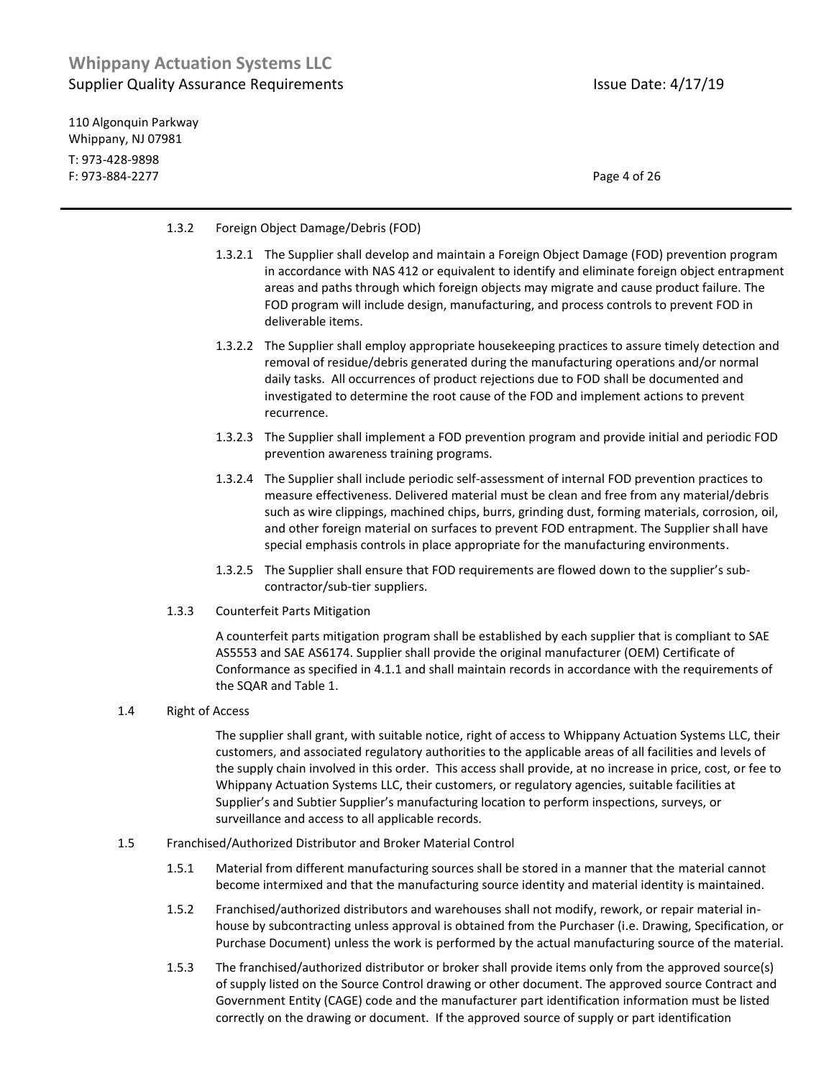110 Algonquin Parkway Whippany, NJ 07981 T: 973-428-9898 F: 973-884-2277 Page 4 of 26

#### 1.3.2 Foreign Object Damage/Debris (FOD)

- 1.3.2.1 The Supplier shall develop and maintain a Foreign Object Damage (FOD) prevention program in accordance with NAS 412 or equivalent to identify and eliminate foreign object entrapment areas and paths through which foreign objects may migrate and cause product failure. The FOD program will include design, manufacturing, and process controls to prevent FOD in deliverable items.
- 1.3.2.2 The Supplier shall employ appropriate housekeeping practices to assure timely detection and removal of residue/debris generated during the manufacturing operations and/or normal daily tasks. All occurrences of product rejections due to FOD shall be documented and investigated to determine the root cause of the FOD and implement actions to prevent recurrence.
- 1.3.2.3 The Supplier shall implement a FOD prevention program and provide initial and periodic FOD prevention awareness training programs.
- 1.3.2.4 The Supplier shall include periodic self-assessment of internal FOD prevention practices to measure effectiveness. Delivered material must be clean and free from any material/debris such as wire clippings, machined chips, burrs, grinding dust, forming materials, corrosion, oil, and other foreign material on surfaces to prevent FOD entrapment. The Supplier shall have special emphasis controls in place appropriate for the manufacturing environments.
- 1.3.2.5 The Supplier shall ensure that FOD requirements are flowed down to the supplier's subcontractor/sub-tier suppliers.
- 1.3.3 Counterfeit Parts Mitigation

A counterfeit parts mitigation program shall be established by each supplier that is compliant to SAE AS5553 and SAE AS6174. Supplier shall provide the original manufacturer (OEM) Certificate of Conformance as specified in 4.1.1 and shall maintain records in accordance with the requirements of the SQAR and Table 1.

#### 1.4 Right of Access

The supplier shall grant, with suitable notice, right of access to Whippany Actuation Systems LLC, their customers, and associated regulatory authorities to the applicable areas of all facilities and levels of the supply chain involved in this order. This access shall provide, at no increase in price, cost, or fee to Whippany Actuation Systems LLC, their customers, or regulatory agencies, suitable facilities at Supplier's and Subtier Supplier's manufacturing location to perform inspections, surveys, or surveillance and access to all applicable records.

- <span id="page-3-0"></span>1.5 Franchised/Authorized Distributor and Broker Material Control
	- 1.5.1 Material from different manufacturing sources shall be stored in a manner that the material cannot become intermixed and that the manufacturing source identity and material identity is maintained.
	- 1.5.2 Franchised/authorized distributors and warehouses shall not modify, rework, or repair material inhouse by subcontracting unless approval is obtained from the Purchaser (i.e. Drawing, Specification, or Purchase Document) unless the work is performed by the actual manufacturing source of the material.
	- 1.5.3 The franchised/authorized distributor or broker shall provide items only from the approved source(s) of supply listed on the Source Control drawing or other document. The approved source Contract and Government Entity (CAGE) code and the manufacturer part identification information must be listed correctly on the drawing or document. If the approved source of supply or part identification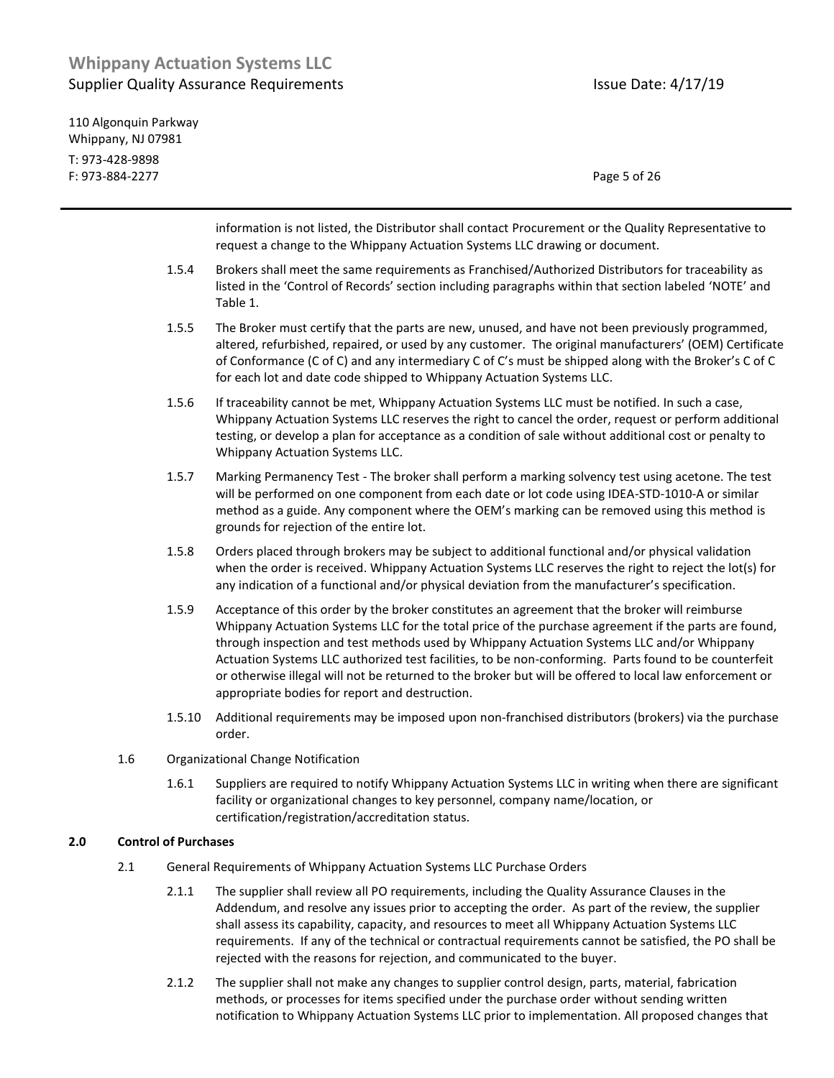| 110 Algonguin Parkway |              |
|-----------------------|--------------|
| Whippany, NJ 07981    |              |
| T: 973-428-9898       |              |
| F: 973-884-2277       | Page 5 of 26 |

information is not listed, the Distributor shall contact Procurement or the Quality Representative to request a change to the Whippany Actuation Systems LLC drawing or document. 1.5.4 Brokers shall meet the same requirements as Franchised/Authorized Distributors for traceability as listed in the 'Control of Records' section including paragraphs within that section labeled 'NOTE' and Table 1. 1.5.5 The Broker must certify that the parts are new, unused, and have not been previously programmed, altered, refurbished, repaired, or used by any customer. The original manufacturers' (OEM) Certificate of Conformance (C of C) and any intermediary C of C's must be shipped along with the Broker's C of C for each lot and date code shipped to Whippany Actuation Systems LLC. 1.5.6 If traceability cannot be met, Whippany Actuation Systems LLC must be notified. In such a case, Whippany Actuation Systems LLC reserves the right to cancel the order, request or perform additional testing, or develop a plan for acceptance as a condition of sale without additional cost or penalty to Whippany Actuation Systems LLC. 1.5.7 Marking Permanency Test - The broker shall perform a marking solvency test using acetone. The test will be performed on one component from each date or lot code using IDEA-STD-1010-A or similar method as a guide. Any component where the OEM's marking can be removed using this method is grounds for rejection of the entire lot. 1.5.8 Orders placed through brokers may be subject to additional functional and/or physical validation when the order is received. Whippany Actuation Systems LLC reserves the right to reject the lot(s) for any indication of a functional and/or physical deviation from the manufacturer's specification. 1.5.9 Acceptance of this order by the broker constitutes an agreement that the broker will reimburse Whippany Actuation Systems LLC for the total price of the purchase agreement if the parts are found, through inspection and test methods used by Whippany Actuation Systems LLC and/or Whippany Actuation Systems LLC authorized test facilities, to be non-conforming. Parts found to be counterfeit or otherwise illegal will not be returned to the broker but will be offered to local law enforcement or appropriate bodies for report and destruction. 1.5.10 Additional requirements may be imposed upon non-franchised distributors (brokers) via the purchase order. 1.6 Organizational Change Notification 1.6.1 Suppliers are required to notify Whippany Actuation Systems LLC in writing when there are significant facility or organizational changes to key personnel, company name/location, or certification/registration/accreditation status. **2.0 Control of Purchases** 2.1 General Requirements of Whippany Actuation Systems LLC Purchase Orders

- 2.1.1 The supplier shall review all PO requirements, including the Quality Assurance Clauses in the Addendum, and resolve any issues prior to accepting the order. As part of the review, the supplier shall assess its capability, capacity, and resources to meet all Whippany Actuation Systems LLC requirements. If any of the technical or contractual requirements cannot be satisfied, the PO shall be rejected with the reasons for rejection, and communicated to the buyer.
- 2.1.2 The supplier shall not make any changes to supplier control design, parts, material, fabrication methods, or processes for items specified under the purchase order without sending written notification to Whippany Actuation Systems LLC prior to implementation. All proposed changes that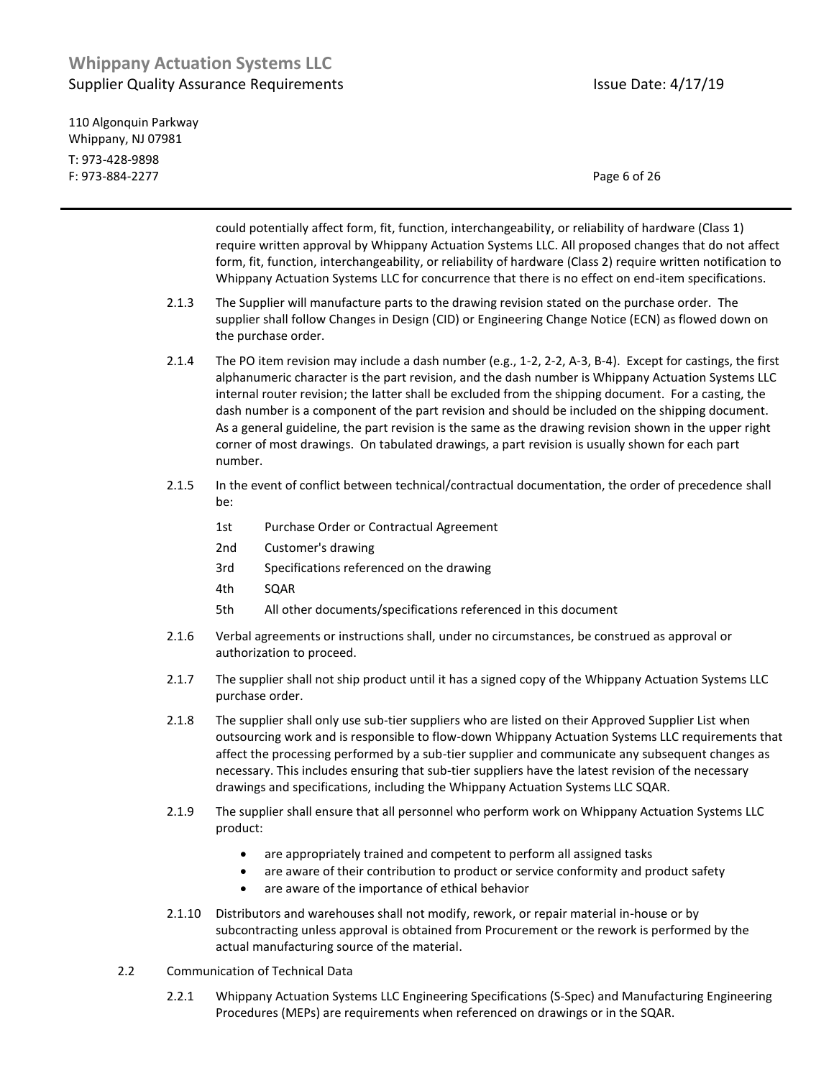110 Algonquin Parkway Whippany, NJ 07981 T: 973-428-9898 F: 973-884-2277 Page 6 of 26

could potentially affect form, fit, function, interchangeability, or reliability of hardware (Class 1) require written approval by Whippany Actuation Systems LLC. All proposed changes that do not affect form, fit, function, interchangeability, or reliability of hardware (Class 2) require written notification to Whippany Actuation Systems LLC for concurrence that there is no effect on end-item specifications.

- 2.1.3 The Supplier will manufacture parts to the drawing revision stated on the purchase order. The supplier shall follow Changes in Design (CID) or Engineering Change Notice (ECN) as flowed down on the purchase order.
- 2.1.4 The PO item revision may include a dash number (e.g., 1-2, 2-2, A-3, B-4). Except for castings, the first alphanumeric character is the part revision, and the dash number is Whippany Actuation Systems LLC internal router revision; the latter shall be excluded from the shipping document. For a casting, the dash number is a component of the part revision and should be included on the shipping document. As a general guideline, the part revision is the same as the drawing revision shown in the upper right corner of most drawings. On tabulated drawings, a part revision is usually shown for each part number.
- 2.1.5 In the event of conflict between technical/contractual documentation, the order of precedence shall be:
	- 1st Purchase Order or Contractual Agreement
	- 2nd Customer's drawing
	- 3rd Specifications referenced on the drawing
	- 4th SQAR
	- 5th All other documents/specifications referenced in this document
- 2.1.6 Verbal agreements or instructions shall, under no circumstances, be construed as approval or authorization to proceed.
- 2.1.7 The supplier shall not ship product until it has a signed copy of the Whippany Actuation Systems LLC purchase order.
- 2.1.8 The supplier shall only use sub-tier suppliers who are listed on their Approved Supplier List when outsourcing work and is responsible to flow-down Whippany Actuation Systems LLC requirements that affect the processing performed by a sub-tier supplier and communicate any subsequent changes as necessary. This includes ensuring that sub-tier suppliers have the latest revision of the necessary drawings and specifications, including the Whippany Actuation Systems LLC SQAR.
- 2.1.9 The supplier shall ensure that all personnel who perform work on Whippany Actuation Systems LLC product:
	- are appropriately trained and competent to perform all assigned tasks
	- are aware of their contribution to product or service conformity and product safety
	- are aware of the importance of ethical behavior
- 2.1.10 Distributors and warehouses shall not modify, rework, or repair material in-house or by subcontracting unless approval is obtained from Procurement or the rework is performed by the actual manufacturing source of the material.
- 2.2 Communication of Technical Data
	- 2.2.1 Whippany Actuation Systems LLC Engineering Specifications (S-Spec) and Manufacturing Engineering Procedures (MEPs) are requirements when referenced on drawings or in the SQAR.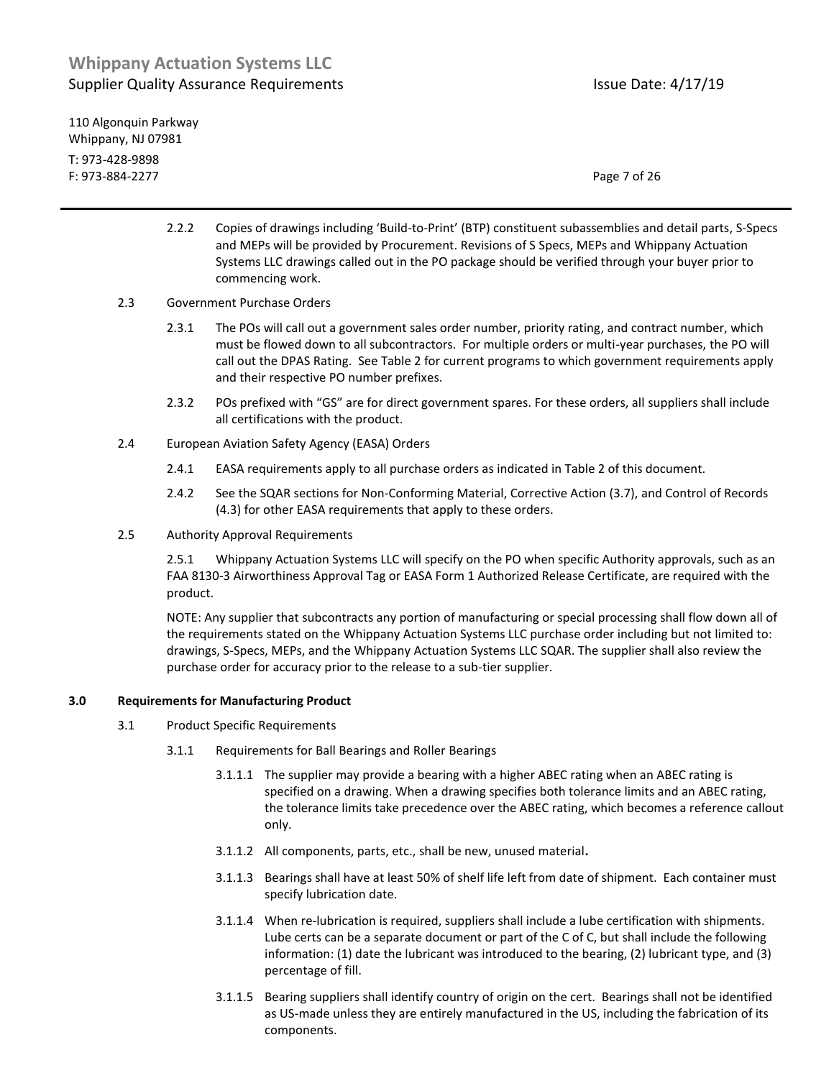110 Algonquin Parkway Whippany, NJ 07981 T: 973-428-9898 F: 973-884-2277 Page 7 of 26

- 2.2.2 Copies of drawings including 'Build-to-Print' (BTP) constituent subassemblies and detail parts, S-Specs and MEPs will be provided by Procurement. Revisions of S Specs, MEPs and Whippany Actuation Systems LLC drawings called out in the PO package should be verified through your buyer prior to commencing work.
- 2.3 Government Purchase Orders
	- 2.3.1 The POs will call out a government sales order number, priority rating, and contract number, which must be flowed down to all subcontractors. For multiple orders or multi-year purchases, the PO will call out the DPAS Rating. See Table 2 for current programs to which government requirements apply and their respective PO number prefixes.
	- 2.3.2 POs prefixed with "GS" are for direct government spares. For these orders, all suppliers shall include all certifications with the product.
- 2.4 European Aviation Safety Agency (EASA) Orders
	- 2.4.1 EASA requirements apply to all purchase orders as indicated in Table 2 of this document.
	- 2.4.2 See the SQAR sections for Non-Conforming Material, Corrective Action (3.7), and Control of Records (4.3) for other EASA requirements that apply to these orders.
- 2.5 Authority Approval Requirements

2.5.1 Whippany Actuation Systems LLC will specify on the PO when specific Authority approvals, such as an FAA 8130-3 Airworthiness Approval Tag or EASA Form 1 Authorized Release Certificate, are required with the product.

NOTE: Any supplier that subcontracts any portion of manufacturing or special processing shall flow down all of the requirements stated on the Whippany Actuation Systems LLC purchase order including but not limited to: drawings, S-Specs, MEPs, and the Whippany Actuation Systems LLC SQAR. The supplier shall also review the purchase order for accuracy prior to the release to a sub-tier supplier.

#### **3.0 Requirements for Manufacturing Product**

- 3.1 Product Specific Requirements
	- 3.1.1 Requirements for Ball Bearings and Roller Bearings
		- 3.1.1.1 The supplier may provide a bearing with a higher ABEC rating when an ABEC rating is specified on a drawing. When a drawing specifies both tolerance limits and an ABEC rating, the tolerance limits take precedence over the ABEC rating, which becomes a reference callout only.
		- 3.1.1.2 All components, parts, etc., shall be new, unused material**.**
		- 3.1.1.3 Bearings shall have at least 50% of shelf life left from date of shipment. Each container must specify lubrication date.
		- 3.1.1.4 When re-lubrication is required, suppliers shall include a lube certification with shipments. Lube certs can be a separate document or part of the C of C, but shall include the following information: (1) date the lubricant was introduced to the bearing, (2) lubricant type, and (3) percentage of fill.
		- 3.1.1.5 Bearing suppliers shall identify country of origin on the cert. Bearings shall not be identified as US-made unless they are entirely manufactured in the US, including the fabrication of its components.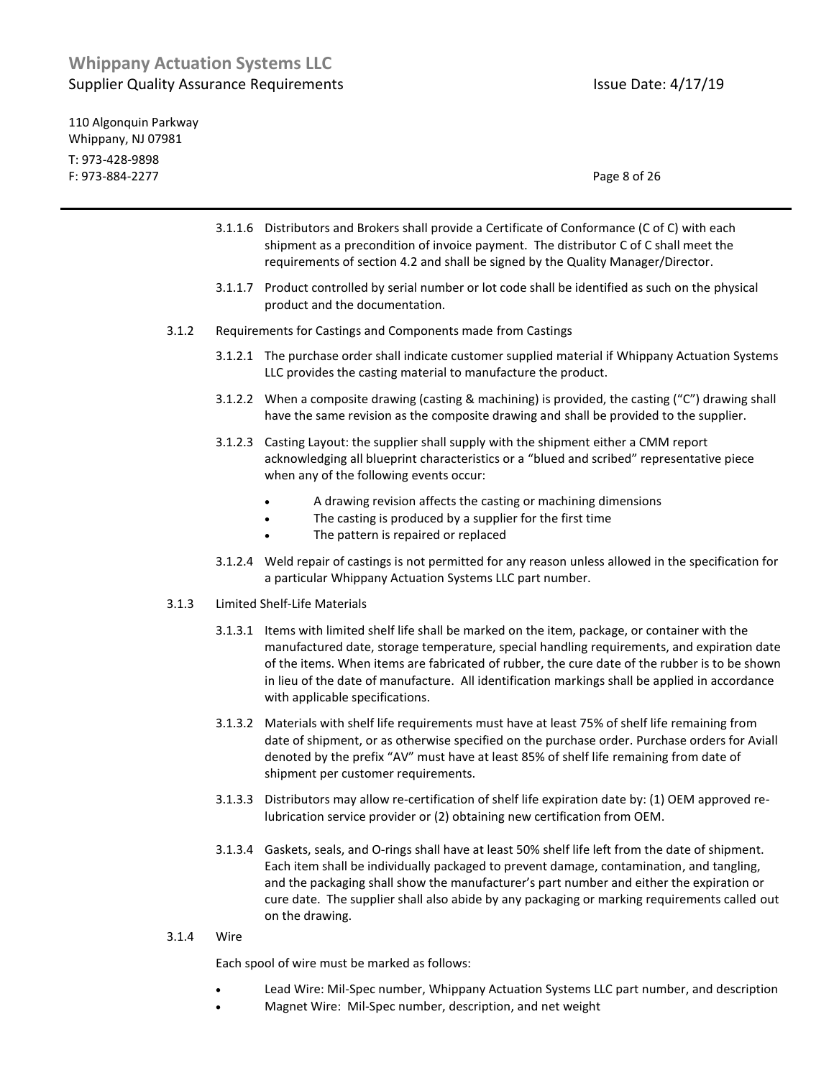110 Algonquin Parkway Whippany, NJ 07981 T: 973-428-9898 F: 973-884-2277 Page 8 of 26

- 3.1.1.6 Distributors and Brokers shall provide a Certificate of Conformance (C of C) with each shipment as a precondition of invoice payment. The distributor C of C shall meet the requirements of section 4.2 and shall be signed by the Quality Manager/Director.
- 3.1.1.7 Product controlled by serial number or lot code shall be identified as such on the physical product and the documentation.
- 3.1.2 Requirements for Castings and Components made from Castings
	- 3.1.2.1 The purchase order shall indicate customer supplied material if Whippany Actuation Systems LLC provides the casting material to manufacture the product.
	- 3.1.2.2 When a composite drawing (casting & machining) is provided, the casting ("C") drawing shall have the same revision as the composite drawing and shall be provided to the supplier.
	- 3.1.2.3 Casting Layout: the supplier shall supply with the shipment either a CMM report acknowledging all blueprint characteristics or a "blued and scribed" representative piece when any of the following events occur:
		- A drawing revision affects the casting or machining dimensions
		- The casting is produced by a supplier for the first time
		- The pattern is repaired or replaced
	- 3.1.2.4 Weld repair of castings is not permitted for any reason unless allowed in the specification for a particular Whippany Actuation Systems LLC part number.
- 3.1.3 Limited Shelf-Life Materials
	- 3.1.3.1 Items with limited shelf life shall be marked on the item, package, or container with the manufactured date, storage temperature, special handling requirements, and expiration date of the items. When items are fabricated of rubber, the cure date of the rubber is to be shown in lieu of the date of manufacture. All identification markings shall be applied in accordance with applicable specifications.
	- 3.1.3.2 Materials with shelf life requirements must have at least 75% of shelf life remaining from date of shipment, or as otherwise specified on the purchase order. Purchase orders for Aviall denoted by the prefix "AV" must have at least 85% of shelf life remaining from date of shipment per customer requirements.
	- 3.1.3.3 Distributors may allow re-certification of shelf life expiration date by: (1) OEM approved relubrication service provider or (2) obtaining new certification from OEM.
	- 3.1.3.4 Gaskets, seals, and O-rings shall have at least 50% shelf life left from the date of shipment. Each item shall be individually packaged to prevent damage, contamination, and tangling, and the packaging shall show the manufacturer's part number and either the expiration or cure date. The supplier shall also abide by any packaging or marking requirements called out on the drawing.
- 3.1.4 Wire

Each spool of wire must be marked as follows:

- Lead Wire: Mil-Spec number, Whippany Actuation Systems LLC part number, and description
- Magnet Wire: Mil-Spec number, description, and net weight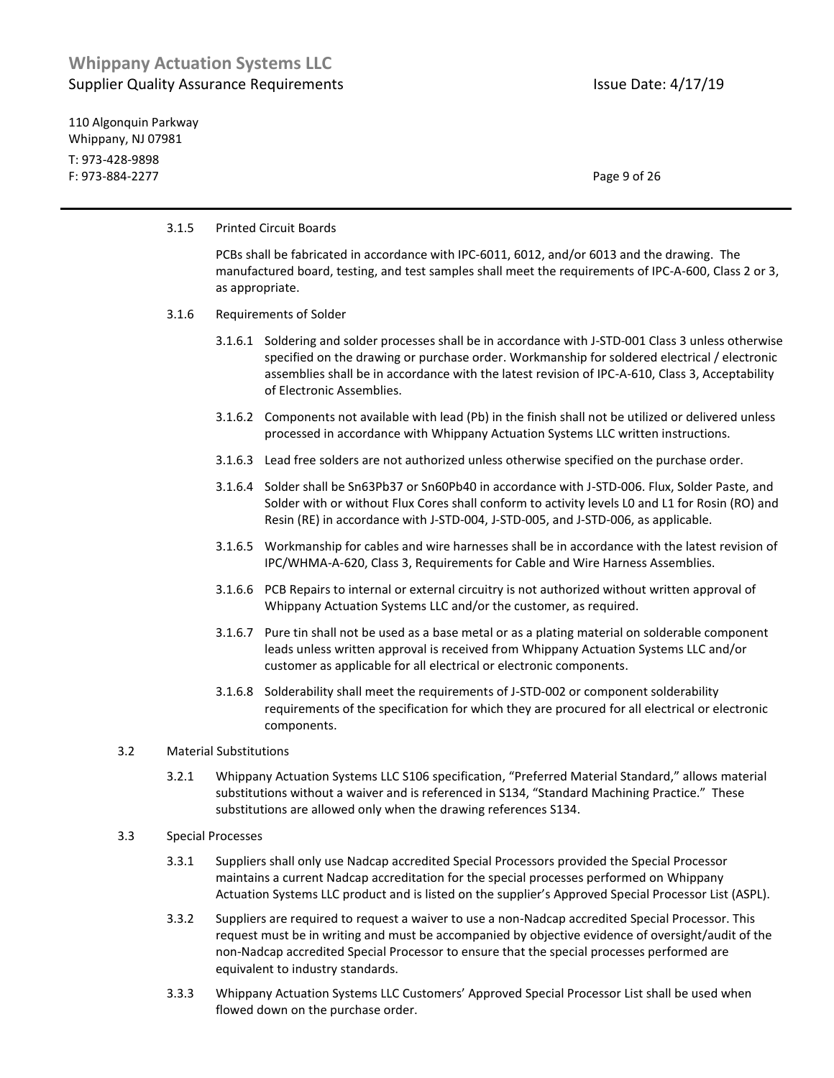110 Algonquin Parkway Whippany, NJ 07981 T: 973-428-9898 F: 973-884-2277 Page 9 of 26

#### 3.1.5 Printed Circuit Boards

PCBs shall be fabricated in accordance with IPC-6011, 6012, and/or 6013 and the drawing. The manufactured board, testing, and test samples shall meet the requirements of IPC-A-600, Class 2 or 3, as appropriate.

#### 3.1.6 Requirements of Solder

- 3.1.6.1 Soldering and solder processes shall be in accordance with J-STD-001 Class 3 unless otherwise specified on the drawing or purchase order. Workmanship for soldered electrical / electronic assemblies shall be in accordance with the latest revision of IPC-A-610, Class 3, Acceptability of Electronic Assemblies.
- 3.1.6.2 Components not available with lead (Pb) in the finish shall not be utilized or delivered unless processed in accordance with Whippany Actuation Systems LLC written instructions.
- 3.1.6.3 Lead free solders are not authorized unless otherwise specified on the purchase order.
- 3.1.6.4 Solder shall be Sn63Pb37 or Sn60Pb40 in accordance with J-STD-006. Flux, Solder Paste, and Solder with or without Flux Cores shall conform to activity levels L0 and L1 for Rosin (RO) and Resin (RE) in accordance with J-STD-004, J-STD-005, and J-STD-006, as applicable.
- 3.1.6.5 Workmanship for cables and wire harnesses shall be in accordance with the latest revision of IPC/WHMA-A-620, Class 3, Requirements for Cable and Wire Harness Assemblies.
- 3.1.6.6 PCB Repairs to internal or external circuitry is not authorized without written approval of Whippany Actuation Systems LLC and/or the customer, as required.
- 3.1.6.7 Pure tin shall not be used as a base metal or as a plating material on solderable component leads unless written approval is received from Whippany Actuation Systems LLC and/or customer as applicable for all electrical or electronic components.
- 3.1.6.8 Solderability shall meet the requirements of J-STD-002 or component solderability requirements of the specification for which they are procured for all electrical or electronic components.

#### 3.2 Material Substitutions

3.2.1 Whippany Actuation Systems LLC S106 specification, "Preferred Material Standard," allows material substitutions without a waiver and is referenced in S134, "Standard Machining Practice." These substitutions are allowed only when the drawing references S134.

#### 3.3 Special Processes

- 3.3.1 Suppliers shall only use Nadcap accredited Special Processors provided the Special Processor maintains a current Nadcap accreditation for the special processes performed on Whippany Actuation Systems LLC product and is listed on the supplier's Approved Special Processor List (ASPL).
- 3.3.2 Suppliers are required to request a waiver to use a non-Nadcap accredited Special Processor. This request must be in writing and must be accompanied by objective evidence of oversight/audit of the non-Nadcap accredited Special Processor to ensure that the special processes performed are equivalent to industry standards.
- 3.3.3 Whippany Actuation Systems LLC Customers' Approved Special Processor List shall be used when flowed down on the purchase order.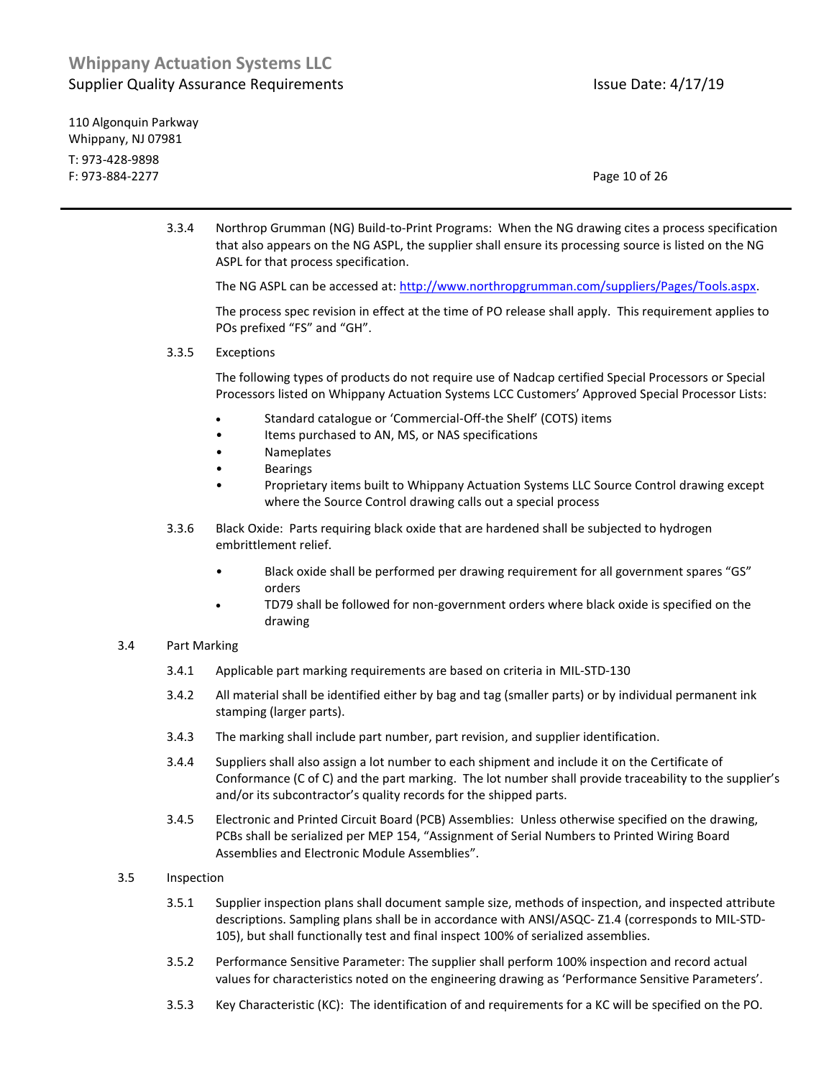110 Algonquin Parkway Whippany, NJ 07981 T: 973-428-9898 F: 973-884-2277 Page 10 of 26

3.3.4 Northrop Grumman (NG) Build-to-Print Programs: When the NG drawing cites a process specification that also appears on the NG ASPL, the supplier shall ensure its processing source is listed on the NG ASPL for that process specification.

The NG ASPL can be accessed at: [http://www.northropgrumman.com/suppliers/Pages/Tools.aspx.](http://www.northropgrumman.com/suppliers/Pages/Tools.aspx) 

The process spec revision in effect at the time of PO release shall apply. This requirement applies to POs prefixed "FS" and "GH".

3.3.5 Exceptions

The following types of products do not require use of Nadcap certified Special Processors or Special Processors listed on Whippany Actuation Systems LCC Customers' Approved Special Processor Lists:

- Standard catalogue or 'Commercial-Off-the Shelf' (COTS) items
- Items purchased to AN, MS, or NAS specifications
- Nameplates
- Bearings
- Proprietary items built to Whippany Actuation Systems LLC Source Control drawing except where the Source Control drawing calls out a special process
- 3.3.6 Black Oxide: Parts requiring black oxide that are hardened shall be subjected to hydrogen embrittlement relief.
	- Black oxide shall be performed per drawing requirement for all government spares "GS" orders
	- TD79 shall be followed for non-government orders where black oxide is specified on the drawing

#### 3.4 Part Marking

- 3.4.1 Applicable part marking requirements are based on criteria in MIL-STD-130
- 3.4.2 All material shall be identified either by bag and tag (smaller parts) or by individual permanent ink stamping (larger parts).
- 3.4.3 The marking shall include part number, part revision, and supplier identification.
- 3.4.4 Suppliers shall also assign a lot number to each shipment and include it on the Certificate of Conformance (C of C) and the part marking. The lot number shall provide traceability to the supplier's and/or its subcontractor's quality records for the shipped parts.
- 3.4.5 Electronic and Printed Circuit Board (PCB) Assemblies: Unless otherwise specified on the drawing, PCBs shall be serialized per MEP 154, "Assignment of Serial Numbers to Printed Wiring Board Assemblies and Electronic Module Assemblies".
- 3.5 Inspection
	- 3.5.1 Supplier inspection plans shall document sample size, methods of inspection, and inspected attribute descriptions. Sampling plans shall be in accordance with ANSI/ASQC- Z1.4 (corresponds to MIL-STD-105), but shall functionally test and final inspect 100% of serialized assemblies.
	- 3.5.2 Performance Sensitive Parameter: The supplier shall perform 100% inspection and record actual values for characteristics noted on the engineering drawing as 'Performance Sensitive Parameters'.
	- 3.5.3 Key Characteristic (KC): The identification of and requirements for a KC will be specified on the PO.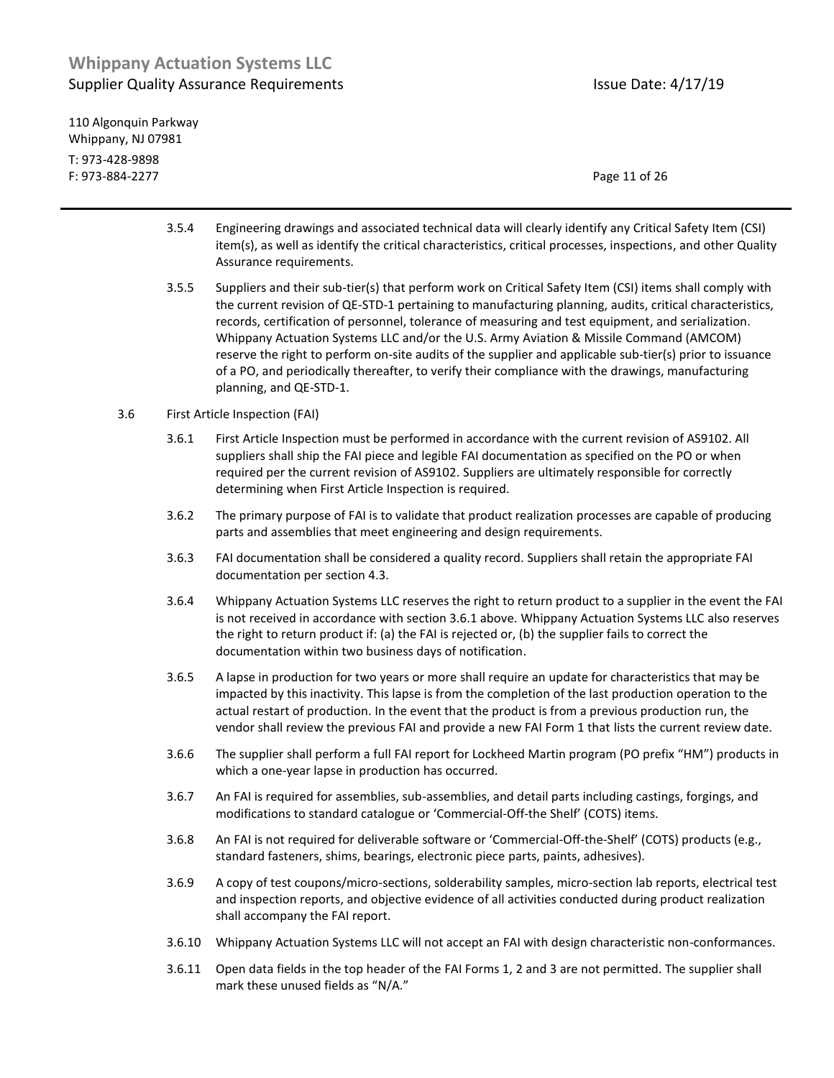110 Algonquin Parkway Whippany, NJ 07981 T: 973-428-9898 F: 973-884-2277 Page 11 of 26

- 3.5.4 Engineering drawings and associated technical data will clearly identify any Critical Safety Item (CSI) item(s), as well as identify the critical characteristics, critical processes, inspections, and other Quality Assurance requirements.
- 3.5.5 Suppliers and their sub-tier(s) that perform work on Critical Safety Item (CSI) items shall comply with the current revision of QE-STD-1 pertaining to manufacturing planning, audits, critical characteristics, records, certification of personnel, tolerance of measuring and test equipment, and serialization. Whippany Actuation Systems LLC and/or the U.S. Army Aviation & Missile Command (AMCOM) reserve the right to perform on-site audits of the supplier and applicable sub-tier(s) prior to issuance of a PO, and periodically thereafter, to verify their compliance with the drawings, manufacturing planning, and QE-STD-1.

#### 3.6 First Article Inspection (FAI)

- 3.6.1 First Article Inspection must be performed in accordance with the current revision of AS9102. All suppliers shall ship the FAI piece and legible FAI documentation as specified on the PO or when required per the current revision of AS9102. Suppliers are ultimately responsible for correctly determining when First Article Inspection is required.
- 3.6.2 The primary purpose of FAI is to validate that product realization processes are capable of producing parts and assemblies that meet engineering and design requirements.
- 3.6.3 FAI documentation shall be considered a quality record. Suppliers shall retain the appropriate FAI documentation per section 4.3.
- 3.6.4 Whippany Actuation Systems LLC reserves the right to return product to a supplier in the event the FAI is not received in accordance with section 3.6.1 above. Whippany Actuation Systems LLC also reserves the right to return product if: (a) the FAI is rejected or, (b) the supplier fails to correct the documentation within two business days of notification.
- 3.6.5 A lapse in production for two years or more shall require an update for characteristics that may be impacted by this inactivity. This lapse is from the completion of the last production operation to the actual restart of production. In the event that the product is from a previous production run, the vendor shall review the previous FAI and provide a new FAI Form 1 that lists the current review date.
- 3.6.6 The supplier shall perform a full FAI report for Lockheed Martin program (PO prefix "HM") products in which a one-year lapse in production has occurred.
- 3.6.7 An FAI is required for assemblies, sub-assemblies, and detail parts including castings, forgings, and modifications to standard catalogue or 'Commercial-Off-the Shelf' (COTS) items.
- 3.6.8 An FAI is not required for deliverable software or 'Commercial-Off-the-Shelf' (COTS) products (e.g., standard fasteners, shims, bearings, electronic piece parts, paints, adhesives).
- 3.6.9 A copy of test coupons/micro-sections, solderability samples, micro-section lab reports, electrical test and inspection reports, and objective evidence of all activities conducted during product realization shall accompany the FAI report.
- 3.6.10 Whippany Actuation Systems LLC will not accept an FAI with design characteristic non-conformances.
- 3.6.11 Open data fields in the top header of the FAI Forms 1, 2 and 3 are not permitted. The supplier shall mark these unused fields as "N/A."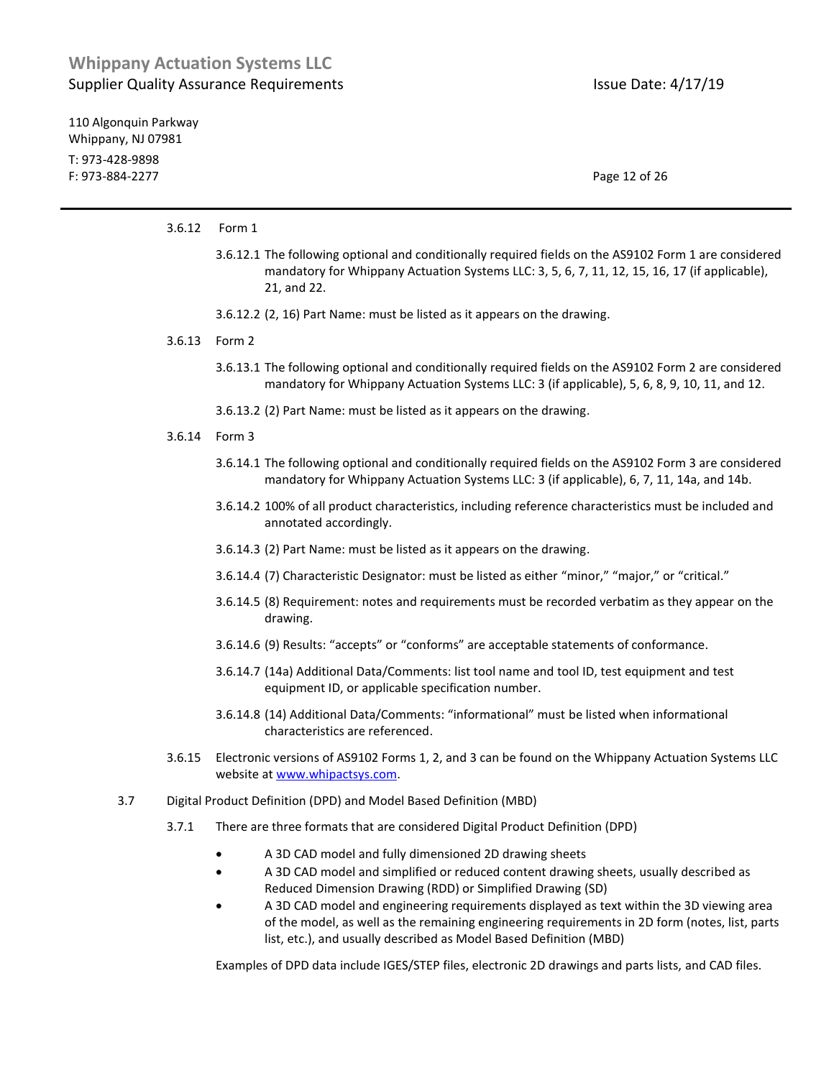110 Algonquin Parkway Whippany, NJ 07981 T: 973-428-9898 F: 973-884-2277 Page 12 of 26

#### 3.6.12 Form 1

- 3.6.12.1 The following optional and conditionally required fields on the AS9102 Form 1 are considered mandatory for Whippany Actuation Systems LLC: 3, 5, 6, 7, 11, 12, 15, 16, 17 (if applicable), 21, and 22.
- 3.6.12.2 (2, 16) Part Name: must be listed as it appears on the drawing.
- 3.6.13 Form 2
	- 3.6.13.1 The following optional and conditionally required fields on the AS9102 Form 2 are considered mandatory for Whippany Actuation Systems LLC: 3 (if applicable), 5, 6, 8, 9, 10, 11, and 12.
	- 3.6.13.2 (2) Part Name: must be listed as it appears on the drawing.
- 3.6.14 Form 3
	- 3.6.14.1 The following optional and conditionally required fields on the AS9102 Form 3 are considered mandatory for Whippany Actuation Systems LLC: 3 (if applicable), 6, 7, 11, 14a, and 14b.
	- 3.6.14.2 100% of all product characteristics, including reference characteristics must be included and annotated accordingly.
	- 3.6.14.3 (2) Part Name: must be listed as it appears on the drawing.
	- 3.6.14.4 (7) Characteristic Designator: must be listed as either "minor," "major," or "critical."
	- 3.6.14.5 (8) Requirement: notes and requirements must be recorded verbatim as they appear on the drawing.
	- 3.6.14.6 (9) Results: "accepts" or "conforms" are acceptable statements of conformance.
	- 3.6.14.7 (14a) Additional Data/Comments: list tool name and tool ID, test equipment and test equipment ID, or applicable specification number.
	- 3.6.14.8 (14) Additional Data/Comments: "informational" must be listed when informational characteristics are referenced.
- 3.6.15 Electronic versions of AS9102 Forms 1, 2, and 3 can be found on the Whippany Actuation Systems LLC website at [www.whipactsys.com.](http://www.whipactsys.com/)
- 3.7 Digital Product Definition (DPD) and Model Based Definition (MBD)
	- 3.7.1 There are three formats that are considered Digital Product Definition (DPD)
		- A 3D CAD model and fully dimensioned 2D drawing sheets
		- A 3D CAD model and simplified or reduced content drawing sheets, usually described as Reduced Dimension Drawing (RDD) or Simplified Drawing (SD)
		- A 3D CAD model and engineering requirements displayed as text within the 3D viewing area of the model, as well as the remaining engineering requirements in 2D form (notes, list, parts list, etc.), and usually described as Model Based Definition (MBD)

Examples of DPD data include IGES/STEP files, electronic 2D drawings and parts lists, and CAD files.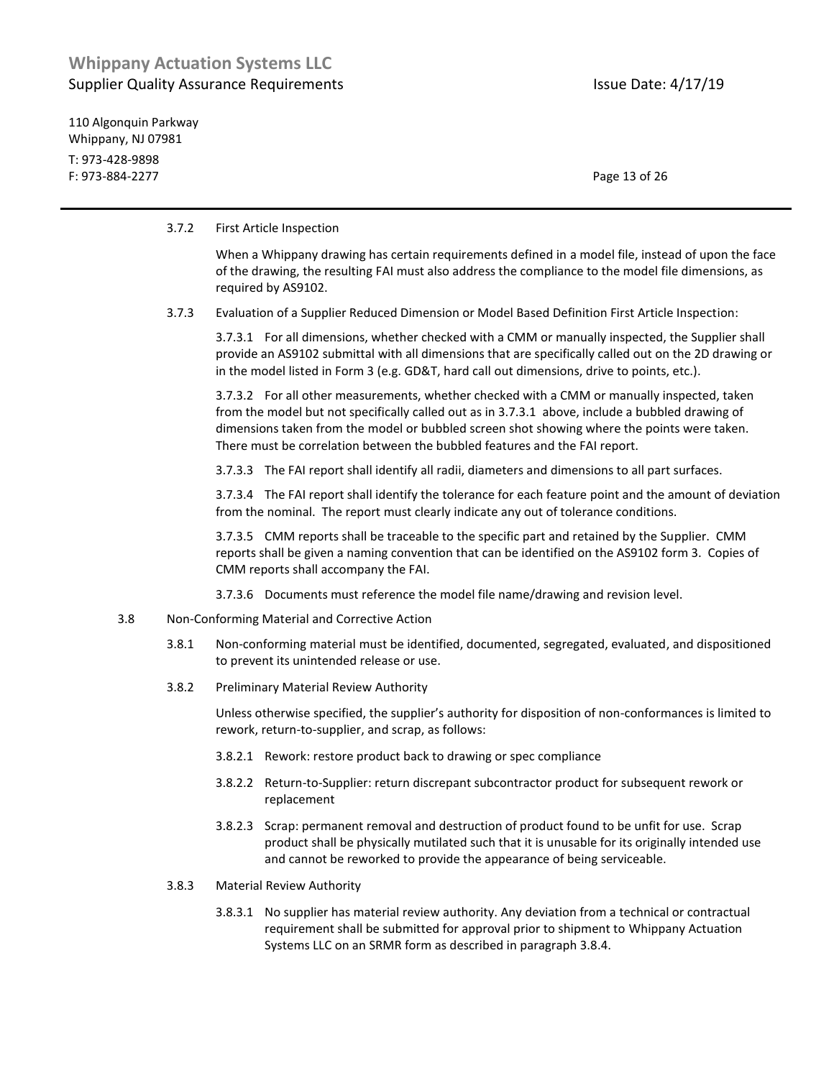110 Algonquin Parkway Whippany, NJ 07981 T: 973-428-9898 F: 973-884-2277 Page 13 of 26

#### 3.7.2 First Article Inspection

| When a Whippany drawing has certain requirements defined in a model file, instead of upon the face  |
|-----------------------------------------------------------------------------------------------------|
| of the drawing, the resulting FAI must also address the compliance to the model file dimensions, as |
| required by AS9102.                                                                                 |

3.7.3 Evaluation of a Supplier Reduced Dimension or Model Based Definition First Article Inspection:

3.7.3.1 For all dimensions, whether checked with a CMM or manually inspected, the Supplier shall provide an AS9102 submittal with all dimensions that are specifically called out on the 2D drawing or in the model listed in Form 3 (e.g. GD&T, hard call out dimensions, drive to points, etc.).

3.7.3.2 For all other measurements, whether checked with a CMM or manually inspected, taken from the model but not specifically called out as in 3.7.3.1 above, include a bubbled drawing of dimensions taken from the model or bubbled screen shot showing where the points were taken. There must be correlation between the bubbled features and the FAI report.

3.7.3.3 The FAI report shall identify all radii, diameters and dimensions to all part surfaces.

3.7.3.4 The FAI report shall identify the tolerance for each feature point and the amount of deviation from the nominal. The report must clearly indicate any out of tolerance conditions.

3.7.3.5 CMM reports shall be traceable to the specific part and retained by the Supplier. CMM reports shall be given a naming convention that can be identified on the AS9102 form 3. Copies of CMM reports shall accompany the FAI.

3.7.3.6 Documents must reference the model file name/drawing and revision level.

- 3.8 Non-Conforming Material and Corrective Action
	- 3.8.1 Non-conforming material must be identified, documented, segregated, evaluated, and dispositioned to prevent its unintended release or use.
	- 3.8.2 Preliminary Material Review Authority

Unless otherwise specified, the supplier's authority for disposition of non-conformances is limited to rework, return-to-supplier, and scrap, as follows:

- 3.8.2.1 Rework: restore product back to drawing or spec compliance
- 3.8.2.2 Return-to-Supplier: return discrepant subcontractor product for subsequent rework or replacement
- 3.8.2.3 Scrap: permanent removal and destruction of product found to be unfit for use. Scrap product shall be physically mutilated such that it is unusable for its originally intended use and cannot be reworked to provide the appearance of being serviceable.
- 3.8.3 Material Review Authority
	- 3.8.3.1 No supplier has material review authority. Any deviation from a technical or contractual requirement shall be submitted for approval prior to shipment to Whippany Actuation Systems LLC on an SRMR form as described in paragraph 3.8.4.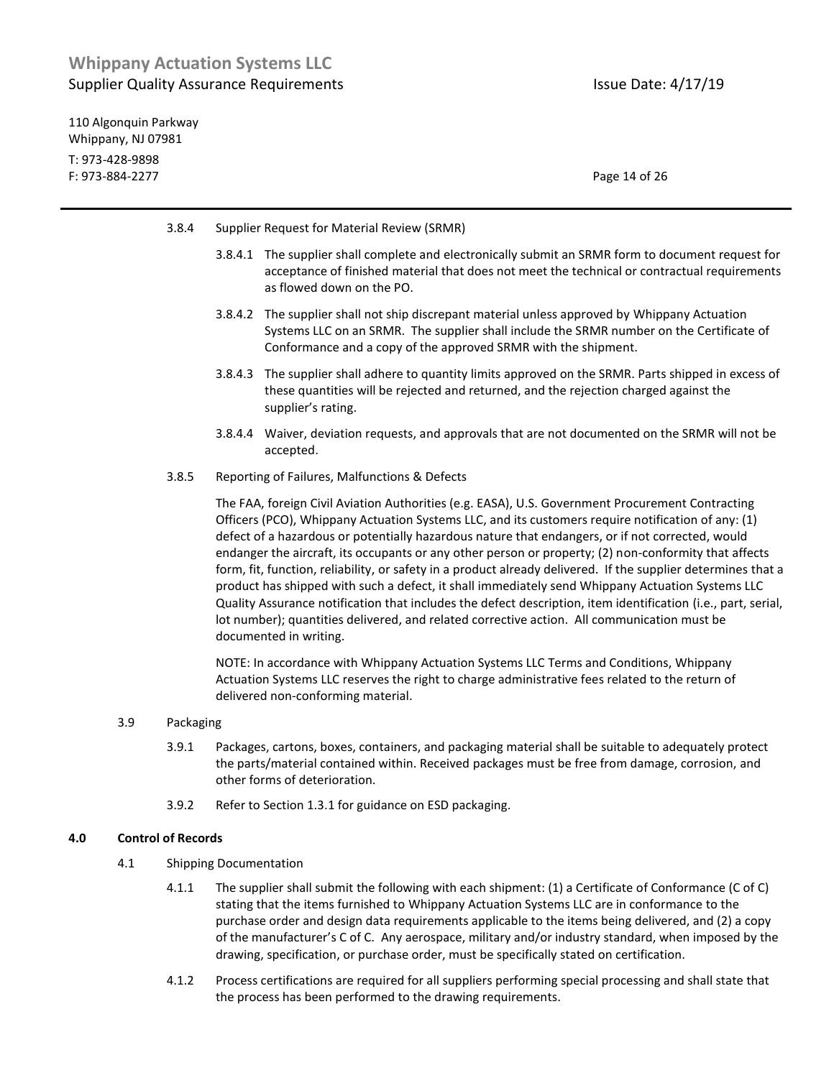110 Algonquin Parkway Whippany, NJ 07981 T: 973-428-9898 F: 973-884-2277 Page 14 of 26

- 3.8.4 Supplier Request for Material Review (SRMR)
	- 3.8.4.1 The supplier shall complete and electronically submit an SRMR form to document request for acceptance of finished material that does not meet the technical or contractual requirements as flowed down on the PO.
	- 3.8.4.2 The supplier shall not ship discrepant material unless approved by Whippany Actuation Systems LLC on an SRMR. The supplier shall include the SRMR number on the Certificate of Conformance and a copy of the approved SRMR with the shipment.
	- 3.8.4.3 The supplier shall adhere to quantity limits approved on the SRMR. Parts shipped in excess of these quantities will be rejected and returned, and the rejection charged against the supplier's rating.
	- 3.8.4.4 Waiver, deviation requests, and approvals that are not documented on the SRMR will not be accepted.
- 3.8.5 Reporting of Failures, Malfunctions & Defects

The FAA, foreign Civil Aviation Authorities (e.g. EASA), U.S. Government Procurement Contracting Officers (PCO), Whippany Actuation Systems LLC, and its customers require notification of any: (1) defect of a hazardous or potentially hazardous nature that endangers, or if not corrected, would endanger the aircraft, its occupants or any other person or property; (2) non-conformity that affects form, fit, function, reliability, or safety in a product already delivered. If the supplier determines that a product has shipped with such a defect, it shall immediately send Whippany Actuation Systems LLC Quality Assurance notification that includes the defect description, item identification (i.e., part, serial, lot number); quantities delivered, and related corrective action. All communication must be documented in writing.

NOTE: In accordance with Whippany Actuation Systems LLC Terms and Conditions, Whippany Actuation Systems LLC reserves the right to charge administrative fees related to the return of delivered non-conforming material.

#### 3.9 Packaging

- 3.9.1 Packages, cartons, boxes, containers, and packaging material shall be suitable to adequately protect the parts/material contained within. Received packages must be free from damage, corrosion, and other forms of deterioration.
- 3.9.2 Refer to Section 1.3.1 for guidance on ESD packaging.

### **4.0 Control of Records**

- 4.1 Shipping Documentation
	- 4.1.1 The supplier shall submit the following with each shipment: (1) a Certificate of Conformance (C of C) stating that the items furnished to Whippany Actuation Systems LLC are in conformance to the purchase order and design data requirements applicable to the items being delivered, and (2) a copy of the manufacturer's C of C. Any aerospace, military and/or industry standard, when imposed by the drawing, specification, or purchase order, must be specifically stated on certification.
	- 4.1.2 Process certifications are required for all suppliers performing special processing and shall state that the process has been performed to the drawing requirements.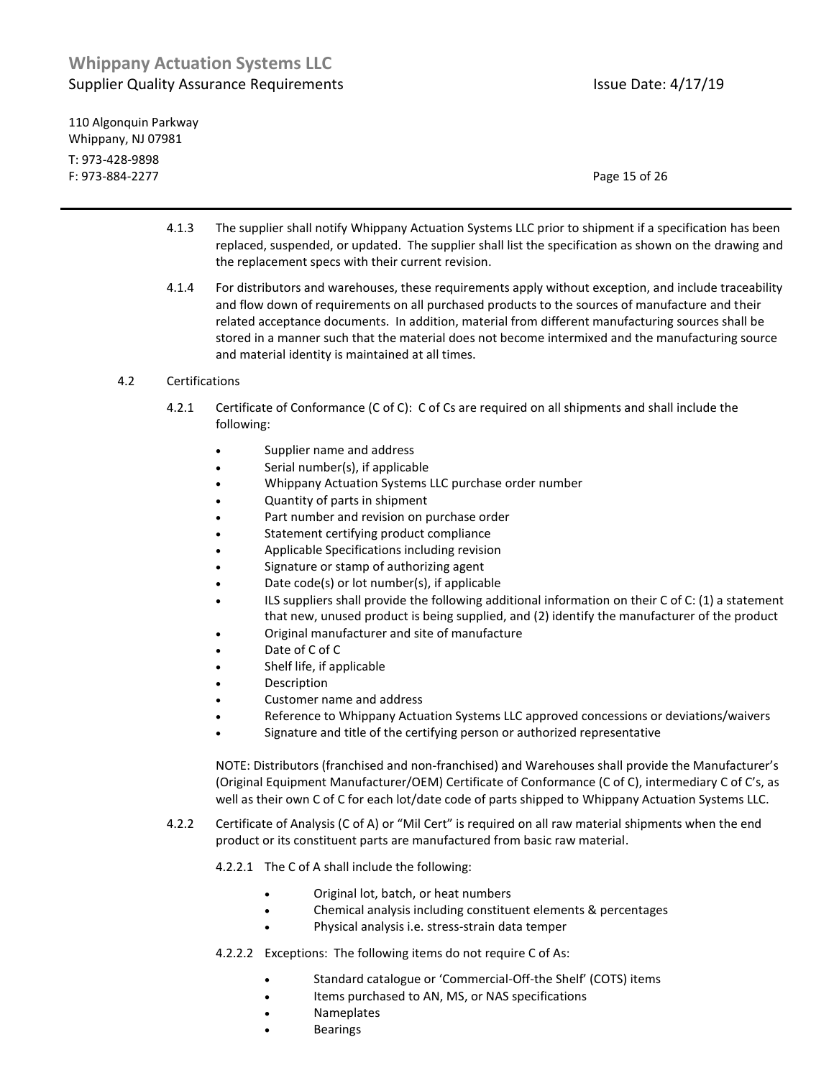110 Algonquin Parkway Whippany, NJ 07981 T: 973-428-9898 F: 973-884-2277 Page 15 of 26

- 4.1.3 The supplier shall notify Whippany Actuation Systems LLC prior to shipment if a specification has been replaced, suspended, or updated. The supplier shall list the specification as shown on the drawing and the replacement specs with their current revision.
- 4.1.4 For distributors and warehouses, these requirements apply without exception, and include traceability and flow down of requirements on all purchased products to the sources of manufacture and their related acceptance documents. In addition, material from different manufacturing sources shall be stored in a manner such that the material does not become intermixed and the manufacturing source and material identity is maintained at all times.
- 4.2 Certifications
	- 4.2.1 Certificate of Conformance (C of C): C of Cs are required on all shipments and shall include the following:
		- Supplier name and address
		- Serial number(s), if applicable
		- Whippany Actuation Systems LLC purchase order number
		- Quantity of parts in shipment
		- Part number and revision on purchase order
		- Statement certifying product compliance
		- Applicable Specifications including revision
		- Signature or stamp of authorizing agent
		- Date code(s) or lot number(s), if applicable
		- ILS suppliers shall provide the following additional information on their C of C: (1) a statement that new, unused product is being supplied, and (2) identify the manufacturer of the product
		- Original manufacturer and site of manufacture
		- Date of C of C
		- Shelf life, if applicable
		- Description
		- Customer name and address
		- Reference to Whippany Actuation Systems LLC approved concessions or deviations/waivers
		- Signature and title of the certifying person or authorized representative

NOTE: Distributors (franchised and non-franchised) and Warehouses shall provide the Manufacturer's (Original Equipment Manufacturer/OEM) Certificate of Conformance (C of C), intermediary C of C's, as well as their own C of C for each lot/date code of parts shipped to Whippany Actuation Systems LLC.

- 4.2.2 Certificate of Analysis (C of A) or "Mil Cert" is required on all raw material shipments when the end product or its constituent parts are manufactured from basic raw material.
	- 4.2.2.1 The C of A shall include the following:
		- Original lot, batch, or heat numbers
		- Chemical analysis including constituent elements & percentages
		- Physical analysis i.e. stress-strain data temper
	- 4.2.2.2 Exceptions: The following items do not require C of As:
		- Standard catalogue or 'Commercial-Off-the Shelf' (COTS) items
		- Items purchased to AN, MS, or NAS specifications
		- Nameplates
		- Bearings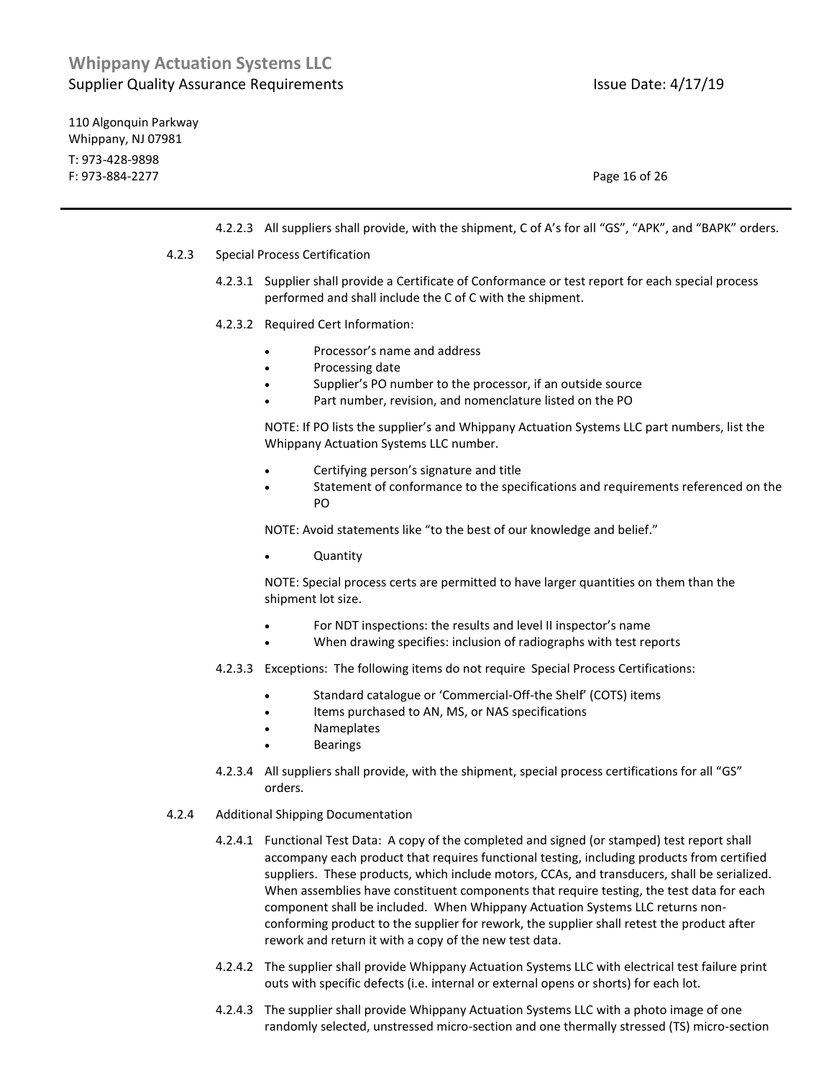110 Algonquin Parkway Whippany, NJ 07981 T: 973-428-9898 F: 973-884-2277 Page 16 of 26

4.2.2.3 All suppliers shall provide, with the shipment, C of A's for all "GS", "APK", and "BAPK" orders.

#### 4.2.3 Special Process Certification

- 4.2.3.1 Supplier shall provide a Certificate of Conformance or test report for each special process performed and shall include the C of C with the shipment.
- 4.2.3.2 Required Cert Information:
	- Processor's name and address
	- Processing date
	- Supplier's PO number to the processor, if an outside source
	- Part number, revision, and nomenclature listed on the PO

NOTE: If PO lists the supplier's and Whippany Actuation Systems LLC part numbers, list the Whippany Actuation Systems LLC number.

- Certifying person's signature and title
- Statement of conformance to the specifications and requirements referenced on the PO

NOTE: Avoid statements like "to the best of our knowledge and belief."

Quantity

NOTE: Special process certs are permitted to have larger quantities on them than the shipment lot size.

- For NDT inspections: the results and level II inspector's name
- When drawing specifies: inclusion of radiographs with test reports
- 4.2.3.3 Exceptions: The following items do not require Special Process Certifications:
	- Standard catalogue or 'Commercial-Off-the Shelf' (COTS) items
	- Items purchased to AN, MS, or NAS specifications
	- Nameplates
	- Bearings
- 4.2.3.4 All suppliers shall provide, with the shipment, special process certifications for all "GS" orders.
- 4.2.4 Additional Shipping Documentation
	- 4.2.4.1 Functional Test Data: A copy of the completed and signed (or stamped) test report shall accompany each product that requires functional testing, including products from certified suppliers. These products, which include motors, CCAs, and transducers, shall be serialized. When assemblies have constituent components that require testing, the test data for each component shall be included. When Whippany Actuation Systems LLC returns nonconforming product to the supplier for rework, the supplier shall retest the product after rework and return it with a copy of the new test data.
	- 4.2.4.2 The supplier shall provide Whippany Actuation Systems LLC with electrical test failure print outs with specific defects (i.e. internal or external opens or shorts) for each lot.
	- 4.2.4.3 The supplier shall provide Whippany Actuation Systems LLC with a photo image of one randomly selected, unstressed micro-section and one thermally stressed (TS) micro-section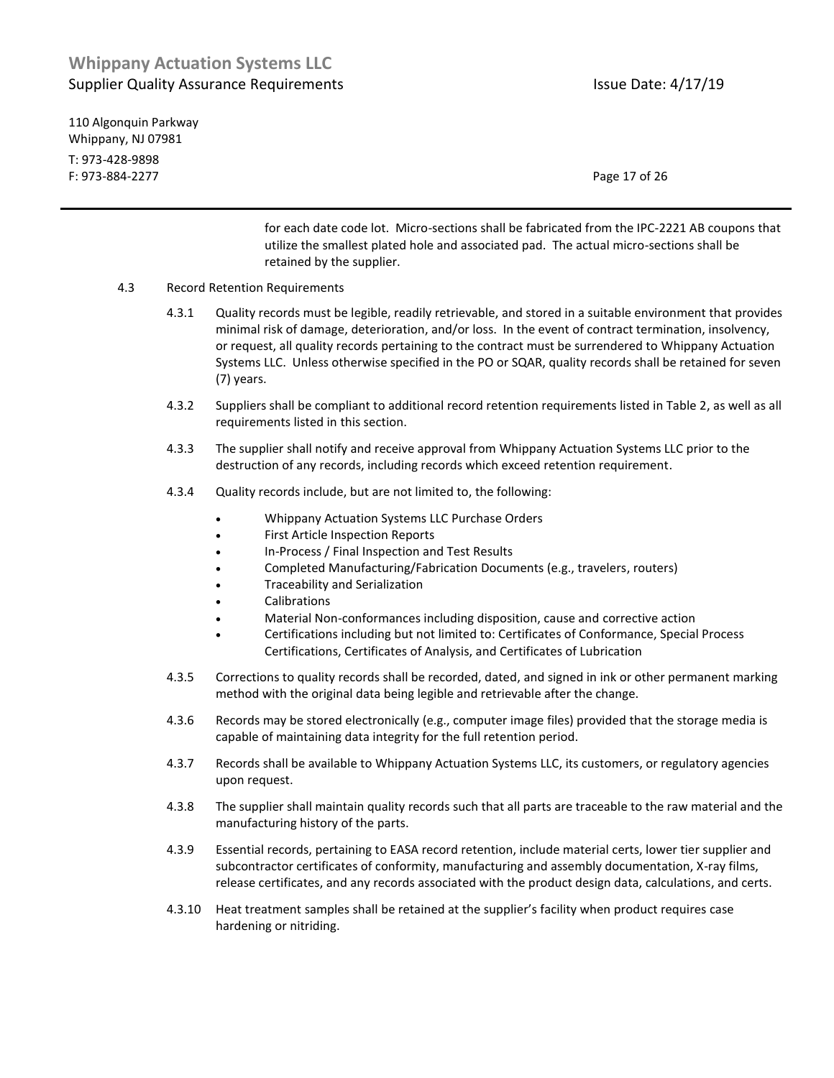110 Algonquin Parkway Whippany, NJ 07981 T: 973-428-9898 F: 973-884-2277 Page 17 of 26

for each date code lot. Micro-sections shall be fabricated from the IPC-2221 AB coupons that utilize the smallest plated hole and associated pad. The actual micro-sections shall be retained by the supplier.

- 4.3 Record Retention Requirements
	- 4.3.1 Quality records must be legible, readily retrievable, and stored in a suitable environment that provides minimal risk of damage, deterioration, and/or loss. In the event of contract termination, insolvency, or request, all quality records pertaining to the contract must be surrendered to Whippany Actuation Systems LLC. Unless otherwise specified in the PO or SQAR, quality records shall be retained for seven (7) years.
	- 4.3.2 Suppliers shall be compliant to additional record retention requirements listed in Table 2, as well as all requirements listed in this section.
	- 4.3.3 The supplier shall notify and receive approval from Whippany Actuation Systems LLC prior to the destruction of any records, including records which exceed retention requirement.
	- 4.3.4 Quality records include, but are not limited to, the following:
		- Whippany Actuation Systems LLC Purchase Orders
		- First Article Inspection Reports
		- In-Process / Final Inspection and Test Results
		- Completed Manufacturing/Fabrication Documents (e.g., travelers, routers)
		- Traceability and Serialization
		- Calibrations
		- Material Non-conformances including disposition, cause and corrective action
		- Certifications including but not limited to: Certificates of Conformance, Special Process Certifications, Certificates of Analysis, and Certificates of Lubrication
	- 4.3.5 Corrections to quality records shall be recorded, dated, and signed in ink or other permanent marking method with the original data being legible and retrievable after the change.
	- 4.3.6 Records may be stored electronically (e.g., computer image files) provided that the storage media is capable of maintaining data integrity for the full retention period.
	- 4.3.7 Records shall be available to Whippany Actuation Systems LLC, its customers, or regulatory agencies upon request.
	- 4.3.8 The supplier shall maintain quality records such that all parts are traceable to the raw material and the manufacturing history of the parts.
	- 4.3.9 Essential records, pertaining to EASA record retention, include material certs, lower tier supplier and subcontractor certificates of conformity, manufacturing and assembly documentation, X-ray films, release certificates, and any records associated with the product design data, calculations, and certs.
	- 4.3.10 Heat treatment samples shall be retained at the supplier's facility when product requires case hardening or nitriding.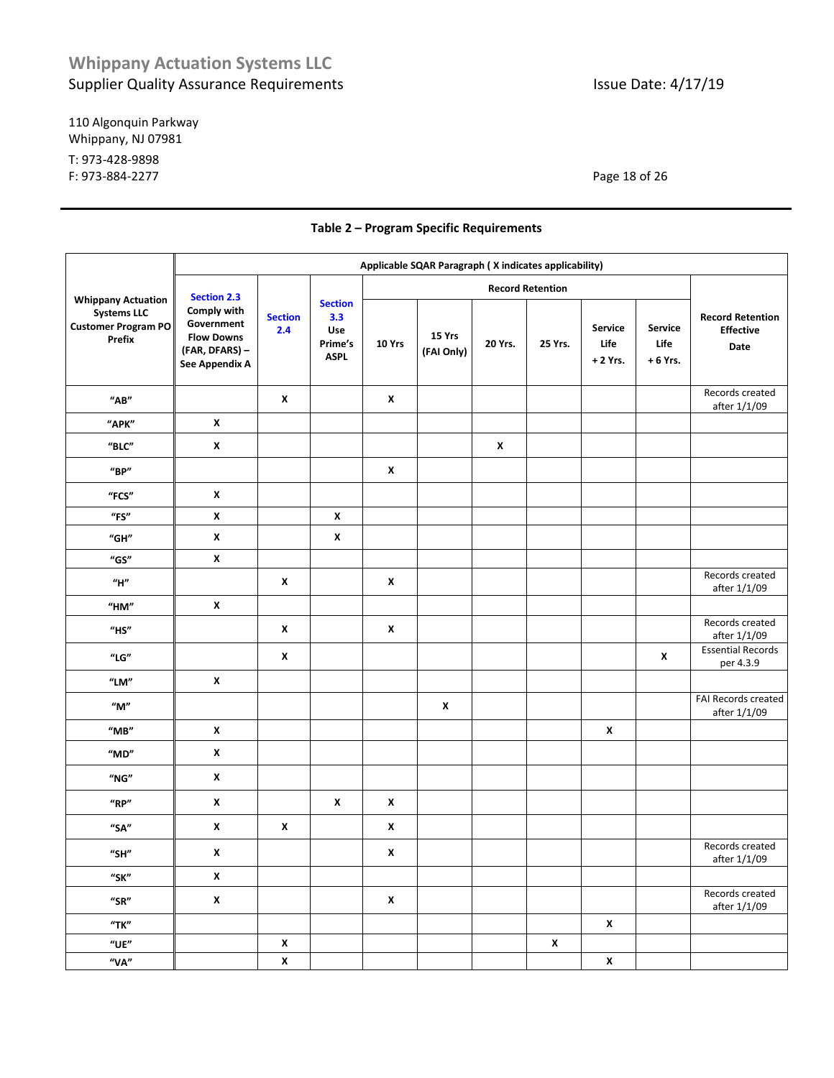110 Algonquin Parkway Whippany, NJ 07981 T: 973-428-9898 F: 973-884-2277 Page 18 of 26

|                                                                                                | Applicable SQAR Paragraph ( X indicates applicability)                                                   |                       |                                                        |                         |                      |              |                    |                              |                              |                                                     |
|------------------------------------------------------------------------------------------------|----------------------------------------------------------------------------------------------------------|-----------------------|--------------------------------------------------------|-------------------------|----------------------|--------------|--------------------|------------------------------|------------------------------|-----------------------------------------------------|
|                                                                                                | <b>Section 2.3</b><br>Comply with<br>Government<br><b>Flow Downs</b><br>(FAR, DFARS) -<br>See Appendix A | <b>Section</b><br>2.4 | <b>Section</b><br>3.3<br>Use<br>Prime's<br><b>ASPL</b> | <b>Record Retention</b> |                      |              |                    |                              |                              |                                                     |
| <b>Whippany Actuation</b><br><b>Systems LLC</b><br><b>Customer Program PO</b><br><b>Prefix</b> |                                                                                                          |                       |                                                        | 10 Yrs                  | 15 Yrs<br>(FAI Only) | 20 Yrs.      | 25 Yrs.            | Service<br>Life<br>$+2$ Yrs. | Service<br>Life<br>$+6$ Yrs. | <b>Record Retention</b><br><b>Effective</b><br>Date |
| $^{\prime\prime}$ AB"                                                                          |                                                                                                          | $\pmb{\chi}$          |                                                        | X                       |                      |              |                    |                              |                              | Records created<br>after 1/1/09                     |
| "APK"                                                                                          | $\pmb{\mathsf{x}}$                                                                                       |                       |                                                        |                         |                      |              |                    |                              |                              |                                                     |
| $"$ BLC"                                                                                       | X                                                                                                        |                       |                                                        |                         |                      | $\pmb{\chi}$ |                    |                              |                              |                                                     |
| $^{\prime\prime}$ BP"                                                                          |                                                                                                          |                       |                                                        | X                       |                      |              |                    |                              |                              |                                                     |
| "FCS"                                                                                          | X                                                                                                        |                       |                                                        |                         |                      |              |                    |                              |                              |                                                     |
| $^{\prime\prime}$ FS $^{\prime\prime}$                                                         | $\pmb{\mathsf{x}}$                                                                                       |                       | $\pmb{\mathsf{x}}$                                     |                         |                      |              |                    |                              |                              |                                                     |
| "GH"                                                                                           | X                                                                                                        |                       | X                                                      |                         |                      |              |                    |                              |                              |                                                     |
| "GS"                                                                                           | $\pmb{\mathsf{x}}$                                                                                       |                       |                                                        |                         |                      |              |                    |                              |                              |                                                     |
| $^{\prime\prime}$ H $^{\prime\prime}$                                                          |                                                                                                          | X                     |                                                        | X                       |                      |              |                    |                              |                              | Records created<br>after 1/1/09                     |
| "HM"                                                                                           | X                                                                                                        |                       |                                                        |                         |                      |              |                    |                              |                              |                                                     |
| $"$ HS"                                                                                        |                                                                                                          | X                     |                                                        | X                       |                      |              |                    |                              |                              | Records created<br>after 1/1/09                     |
| $^{\prime\prime}{\rm LG}^{\prime\prime}$                                                       |                                                                                                          | X                     |                                                        |                         |                      |              |                    |                              | X                            | <b>Essential Records</b><br>per 4.3.9               |
| "LM"                                                                                           | $\pmb{\mathsf{x}}$                                                                                       |                       |                                                        |                         |                      |              |                    |                              |                              |                                                     |
| $^{\prime\prime}$ M $^{\prime\prime}$                                                          |                                                                                                          |                       |                                                        |                         | $\pmb{\mathsf{x}}$   |              |                    |                              |                              | FAI Records created<br>after 1/1/09                 |
| $^{\prime\prime}$ MB $^{\prime\prime}$                                                         | $\pmb{\mathsf{x}}$                                                                                       |                       |                                                        |                         |                      |              |                    | $\pmb{\mathsf{x}}$           |                              |                                                     |
| $^{\prime\prime}$ MD"                                                                          | $\pmb{\mathsf{x}}$                                                                                       |                       |                                                        |                         |                      |              |                    |                              |                              |                                                     |
| "NG"                                                                                           | X                                                                                                        |                       |                                                        |                         |                      |              |                    |                              |                              |                                                     |
| "RP"                                                                                           | X                                                                                                        |                       | X                                                      | $\pmb{\mathsf{x}}$      |                      |              |                    |                              |                              |                                                     |
| "SA"                                                                                           | X                                                                                                        | $\pmb{\chi}$          |                                                        | X                       |                      |              |                    |                              |                              |                                                     |
| "SH"                                                                                           | X                                                                                                        |                       |                                                        | X                       |                      |              |                    |                              |                              | Records created<br>after 1/1/09                     |
| "SK"                                                                                           | $\pmb{\mathsf{x}}$                                                                                       |                       |                                                        |                         |                      |              |                    |                              |                              |                                                     |
| $"$ SR $"$                                                                                     | $\pmb{\mathsf{x}}$                                                                                       |                       |                                                        | $\pmb{\mathsf{x}}$      |                      |              |                    |                              |                              | Records created<br>after 1/1/09                     |
| "TK"                                                                                           |                                                                                                          |                       |                                                        |                         |                      |              |                    | $\pmb{\mathsf{x}}$           |                              |                                                     |
| $"$ UE"                                                                                        |                                                                                                          | $\pmb{\mathsf{x}}$    |                                                        |                         |                      |              | $\pmb{\mathsf{x}}$ |                              |                              |                                                     |
| "VA"                                                                                           |                                                                                                          | $\pmb{\mathsf{x}}$    |                                                        |                         |                      |              |                    | $\pmb{\mathsf{x}}$           |                              |                                                     |

### **Table 2 – Program Specific Requirements**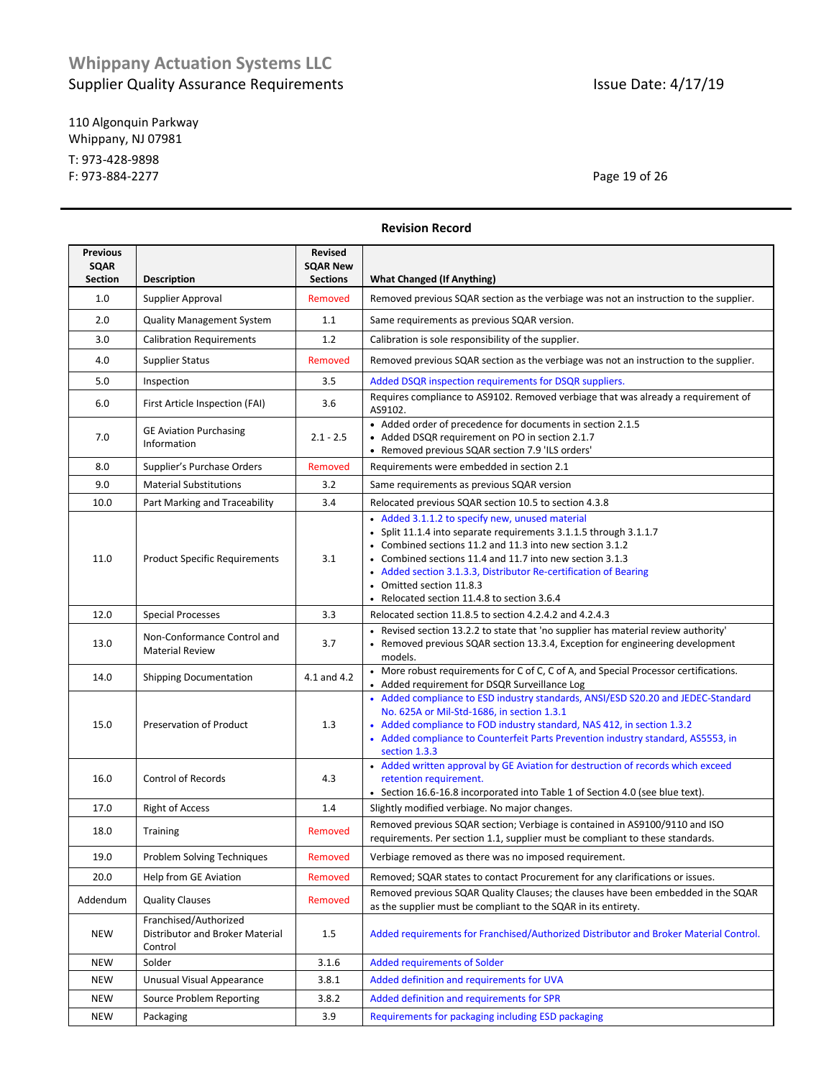110 Algonquin Parkway Whippany, NJ 07981 T: 973-428-9898 F: 973-884-2277 Page 19 of 26

|                                                  |                                                                                            |                                                      | nevisiuli nelulu                                                                                                                                                                                                                                                                                                                                                                            |  |  |  |
|--------------------------------------------------|--------------------------------------------------------------------------------------------|------------------------------------------------------|---------------------------------------------------------------------------------------------------------------------------------------------------------------------------------------------------------------------------------------------------------------------------------------------------------------------------------------------------------------------------------------------|--|--|--|
| <b>Previous</b><br><b>SQAR</b><br><b>Section</b> | <b>Description</b>                                                                         | <b>Revised</b><br><b>SQAR New</b><br><b>Sections</b> | <b>What Changed (If Anything)</b>                                                                                                                                                                                                                                                                                                                                                           |  |  |  |
|                                                  |                                                                                            |                                                      |                                                                                                                                                                                                                                                                                                                                                                                             |  |  |  |
| 1.0                                              | Supplier Approval                                                                          | Removed                                              | Removed previous SQAR section as the verbiage was not an instruction to the supplier.                                                                                                                                                                                                                                                                                                       |  |  |  |
| 2.0                                              | <b>Quality Management System</b>                                                           | 1.1                                                  | Same requirements as previous SQAR version.                                                                                                                                                                                                                                                                                                                                                 |  |  |  |
| 3.0                                              | <b>Calibration Requirements</b>                                                            | 1.2                                                  | Calibration is sole responsibility of the supplier.                                                                                                                                                                                                                                                                                                                                         |  |  |  |
| 4.0                                              | Supplier Status                                                                            | Removed                                              | Removed previous SQAR section as the verbiage was not an instruction to the supplier.                                                                                                                                                                                                                                                                                                       |  |  |  |
| 5.0                                              | Inspection                                                                                 | 3.5                                                  | Added DSQR inspection requirements for DSQR suppliers.                                                                                                                                                                                                                                                                                                                                      |  |  |  |
| 6.0                                              | First Article Inspection (FAI)                                                             | 3.6                                                  | Requires compliance to AS9102. Removed verbiage that was already a requirement of<br>AS9102.                                                                                                                                                                                                                                                                                                |  |  |  |
| 7.0                                              | <b>GE Aviation Purchasing</b><br>Information                                               | $2.1 - 2.5$                                          | • Added order of precedence for documents in section 2.1.5<br>• Added DSQR requirement on PO in section 2.1.7<br>• Removed previous SQAR section 7.9 'ILS orders'                                                                                                                                                                                                                           |  |  |  |
| 8.0                                              | Supplier's Purchase Orders                                                                 | Removed                                              | Requirements were embedded in section 2.1                                                                                                                                                                                                                                                                                                                                                   |  |  |  |
| 9.0                                              | <b>Material Substitutions</b>                                                              | 3.2                                                  | Same requirements as previous SQAR version                                                                                                                                                                                                                                                                                                                                                  |  |  |  |
| 10.0                                             | Part Marking and Traceability                                                              | 3.4                                                  | Relocated previous SQAR section 10.5 to section 4.3.8                                                                                                                                                                                                                                                                                                                                       |  |  |  |
| 11.0                                             | <b>Product Specific Requirements</b>                                                       | 3.1                                                  | • Added 3.1.1.2 to specify new, unused material<br>• Split 11.1.4 into separate requirements 3.1.1.5 through 3.1.1.7<br>• Combined sections 11.2 and 11.3 into new section 3.1.2<br>• Combined sections 11.4 and 11.7 into new section 3.1.3<br>• Added section 3.1.3.3, Distributor Re-certification of Bearing<br>• Omitted section 11.8.3<br>• Relocated section 11.4.8 to section 3.6.4 |  |  |  |
| 12.0                                             | <b>Special Processes</b><br>Relocated section 11.8.5 to section 4.2.4.2 and 4.2.4.3<br>3.3 |                                                      |                                                                                                                                                                                                                                                                                                                                                                                             |  |  |  |
| 13.0                                             | Non-Conformance Control and<br><b>Material Review</b>                                      | 3.7                                                  | • Revised section 13.2.2 to state that 'no supplier has material review authority'<br>• Removed previous SQAR section 13.3.4, Exception for engineering development<br>models.                                                                                                                                                                                                              |  |  |  |
| 14.0                                             | <b>Shipping Documentation</b>                                                              | 4.1 and 4.2                                          | • More robust requirements for C of C, C of A, and Special Processor certifications.<br>• Added requirement for DSQR Surveillance Log                                                                                                                                                                                                                                                       |  |  |  |
| 15.0                                             | Preservation of Product                                                                    | 1.3                                                  | • Added compliance to ESD industry standards, ANSI/ESD S20.20 and JEDEC-Standard<br>No. 625A or Mil-Std-1686, in section 1.3.1<br>• Added compliance to FOD industry standard, NAS 412, in section 1.3.2<br>• Added compliance to Counterfeit Parts Prevention industry standard, AS5553, in<br>section 1.3.3                                                                               |  |  |  |
| 16.0                                             | <b>Control of Records</b>                                                                  | 4.3                                                  | • Added written approval by GE Aviation for destruction of records which exceed<br>retention requirement.<br>• Section 16.6-16.8 incorporated into Table 1 of Section 4.0 (see blue text).                                                                                                                                                                                                  |  |  |  |
| 17.0                                             | <b>Right of Access</b>                                                                     | 1.4                                                  | Slightly modified verbiage. No major changes.                                                                                                                                                                                                                                                                                                                                               |  |  |  |
| 18.0                                             | <b>Training</b>                                                                            | Removed                                              | Removed previous SQAR section; Verbiage is contained in AS9100/9110 and ISO<br>requirements. Per section 1.1, supplier must be compliant to these standards.                                                                                                                                                                                                                                |  |  |  |
| 19.0                                             | Problem Solving Techniques                                                                 | Removed                                              | Verbiage removed as there was no imposed requirement.                                                                                                                                                                                                                                                                                                                                       |  |  |  |
| 20.0                                             | Help from GE Aviation                                                                      | Removed                                              | Removed; SQAR states to contact Procurement for any clarifications or issues.                                                                                                                                                                                                                                                                                                               |  |  |  |
| Addendum                                         | <b>Quality Clauses</b>                                                                     | Removed                                              | Removed previous SQAR Quality Clauses; the clauses have been embedded in the SQAR<br>as the supplier must be compliant to the SQAR in its entirety.                                                                                                                                                                                                                                         |  |  |  |
| NEW                                              | Franchised/Authorized<br>Distributor and Broker Material<br>Control                        | 1.5                                                  | Added requirements for Franchised/Authorized Distributor and Broker Material Control.                                                                                                                                                                                                                                                                                                       |  |  |  |
| NEW                                              | Solder                                                                                     | 3.1.6                                                | <b>Added requirements of Solder</b>                                                                                                                                                                                                                                                                                                                                                         |  |  |  |
| NEW                                              | Unusual Visual Appearance                                                                  | 3.8.1                                                | Added definition and requirements for UVA                                                                                                                                                                                                                                                                                                                                                   |  |  |  |
| NEW                                              | Source Problem Reporting                                                                   | 3.8.2                                                | Added definition and requirements for SPR                                                                                                                                                                                                                                                                                                                                                   |  |  |  |
| <b>NEW</b>                                       | Packaging                                                                                  | 3.9                                                  | Requirements for packaging including ESD packaging                                                                                                                                                                                                                                                                                                                                          |  |  |  |

**Revision Record**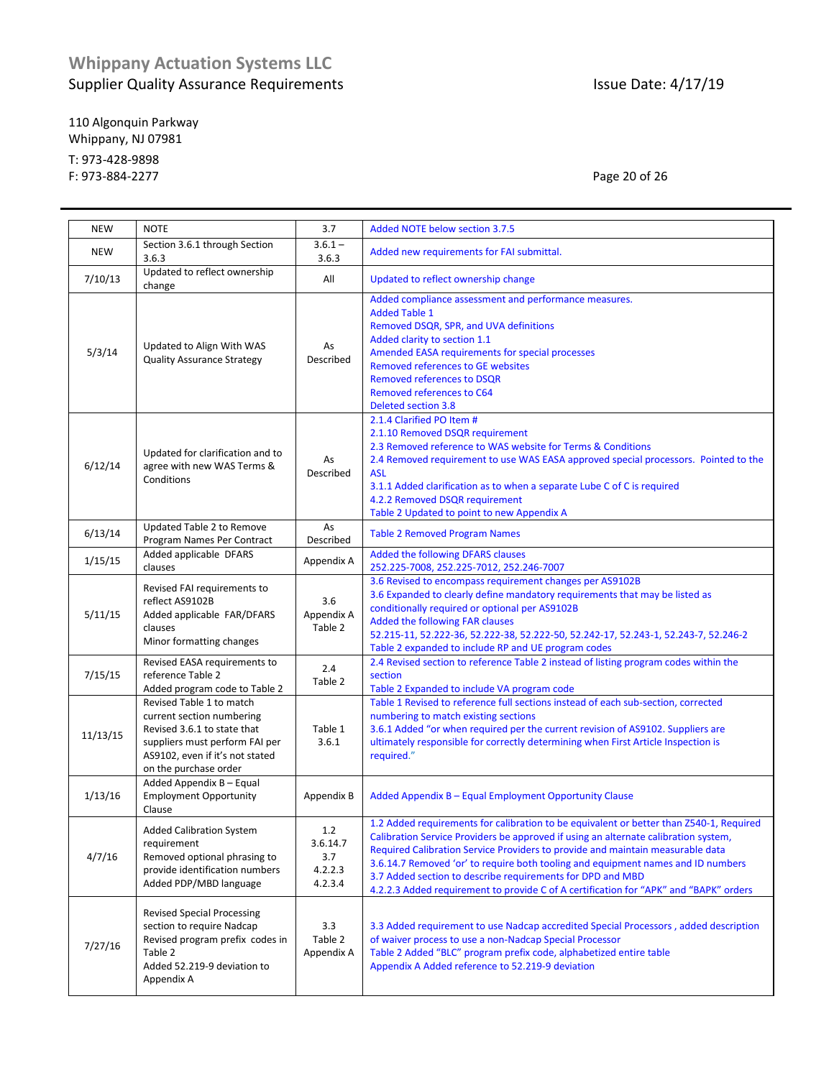110 Algonquin Parkway Whippany, NJ 07981 T: 973-428-9898 F: 973-884-2277 Page 20 of 26

| <b>NEW</b> | <b>NOTE</b>                                                                                                                                                                        | 3.7                                          | Added NOTE below section 3.7.5                                                                                                                                                                                                                                                                                                                                                                                                                                                                              |
|------------|------------------------------------------------------------------------------------------------------------------------------------------------------------------------------------|----------------------------------------------|-------------------------------------------------------------------------------------------------------------------------------------------------------------------------------------------------------------------------------------------------------------------------------------------------------------------------------------------------------------------------------------------------------------------------------------------------------------------------------------------------------------|
| <b>NEW</b> | Section 3.6.1 through Section<br>3.6.3                                                                                                                                             | $3.6.1 -$<br>3.6.3                           | Added new requirements for FAI submittal.                                                                                                                                                                                                                                                                                                                                                                                                                                                                   |
| 7/10/13    | Updated to reflect ownership<br>change                                                                                                                                             | All                                          | Updated to reflect ownership change                                                                                                                                                                                                                                                                                                                                                                                                                                                                         |
| 5/3/14     | Updated to Align With WAS<br><b>Quality Assurance Strategy</b>                                                                                                                     | As<br>Described                              | Added compliance assessment and performance measures.<br><b>Added Table 1</b><br>Removed DSQR, SPR, and UVA definitions<br>Added clarity to section 1.1<br>Amended EASA requirements for special processes<br><b>Removed references to GE websites</b><br><b>Removed references to DSQR</b><br>Removed references to C64<br><b>Deleted section 3.8</b>                                                                                                                                                      |
| 6/12/14    | Updated for clarification and to<br>agree with new WAS Terms &<br>Conditions                                                                                                       | As<br>Described                              | 2.1.4 Clarified PO Item #<br>2.1.10 Removed DSQR requirement<br>2.3 Removed reference to WAS website for Terms & Conditions<br>2.4 Removed requirement to use WAS EASA approved special processors. Pointed to the<br><b>ASL</b><br>3.1.1 Added clarification as to when a separate Lube C of C is required<br>4.2.2 Removed DSQR requirement<br>Table 2 Updated to point to new Appendix A                                                                                                                 |
| 6/13/14    | Updated Table 2 to Remove<br>Program Names Per Contract                                                                                                                            | As<br>Described                              | <b>Table 2 Removed Program Names</b>                                                                                                                                                                                                                                                                                                                                                                                                                                                                        |
| 1/15/15    | Added applicable DFARS<br>clauses                                                                                                                                                  | Appendix A                                   | Added the following DFARS clauses<br>252.225-7008, 252.225-7012, 252.246-7007                                                                                                                                                                                                                                                                                                                                                                                                                               |
| 5/11/15    | Revised FAI requirements to<br>reflect AS9102B<br>Added applicable FAR/DFARS<br>clauses<br>Minor formatting changes                                                                | 3.6<br>Appendix A<br>Table 2                 | 3.6 Revised to encompass requirement changes per AS9102B<br>3.6 Expanded to clearly define mandatory requirements that may be listed as<br>conditionally required or optional per AS9102B<br>Added the following FAR clauses<br>52.215-11, 52.222-36, 52.222-38, 52.222-50, 52.242-17, 52.243-1, 52.243-7, 52.246-2<br>Table 2 expanded to include RP and UE program codes                                                                                                                                  |
| 7/15/15    | Revised EASA requirements to<br>2.4<br>reference Table 2<br>Table 2<br>Added program code to Table 2                                                                               |                                              | 2.4 Revised section to reference Table 2 instead of listing program codes within the<br>section<br>Table 2 Expanded to include VA program code                                                                                                                                                                                                                                                                                                                                                              |
| 11/13/15   | Revised Table 1 to match<br>current section numbering<br>Revised 3.6.1 to state that<br>suppliers must perform FAI per<br>AS9102, even if it's not stated<br>on the purchase order | Table 1<br>3.6.1                             | Table 1 Revised to reference full sections instead of each sub-section, corrected<br>numbering to match existing sections<br>3.6.1 Added "or when required per the current revision of AS9102. Suppliers are<br>ultimately responsible for correctly determining when First Article Inspection is<br>required."                                                                                                                                                                                             |
| 1/13/16    | Added Appendix B - Equal<br><b>Employment Opportunity</b><br>Clause                                                                                                                | Appendix B                                   | Added Appendix B - Equal Employment Opportunity Clause                                                                                                                                                                                                                                                                                                                                                                                                                                                      |
| 4/7/16     | <b>Added Calibration System</b><br>requirement<br>Removed optional phrasing to<br>provide identification numbers<br>Added PDP/MBD language                                         | 1.2<br>3.6.14.7<br>3.7<br>4.2.2.3<br>4.2.3.4 | 1.2 Added requirements for calibration to be equivalent or better than Z540-1, Required<br>Calibration Service Providers be approved if using an alternate calibration system,<br>Required Calibration Service Providers to provide and maintain measurable data<br>3.6.14.7 Removed 'or' to require both tooling and equipment names and ID numbers<br>3.7 Added section to describe requirements for DPD and MBD<br>4.2.2.3 Added requirement to provide C of A certification for "APK" and "BAPK" orders |
| 7/27/16    | <b>Revised Special Processing</b><br>section to require Nadcap<br>Revised program prefix codes in<br>Table 2<br>Added 52.219-9 deviation to<br>Appendix A                          | 3.3<br>Table 2<br>Appendix A                 | 3.3 Added requirement to use Nadcap accredited Special Processors, added description<br>of waiver process to use a non-Nadcap Special Processor<br>Table 2 Added "BLC" program prefix code, alphabetized entire table<br>Appendix A Added reference to 52.219-9 deviation                                                                                                                                                                                                                                   |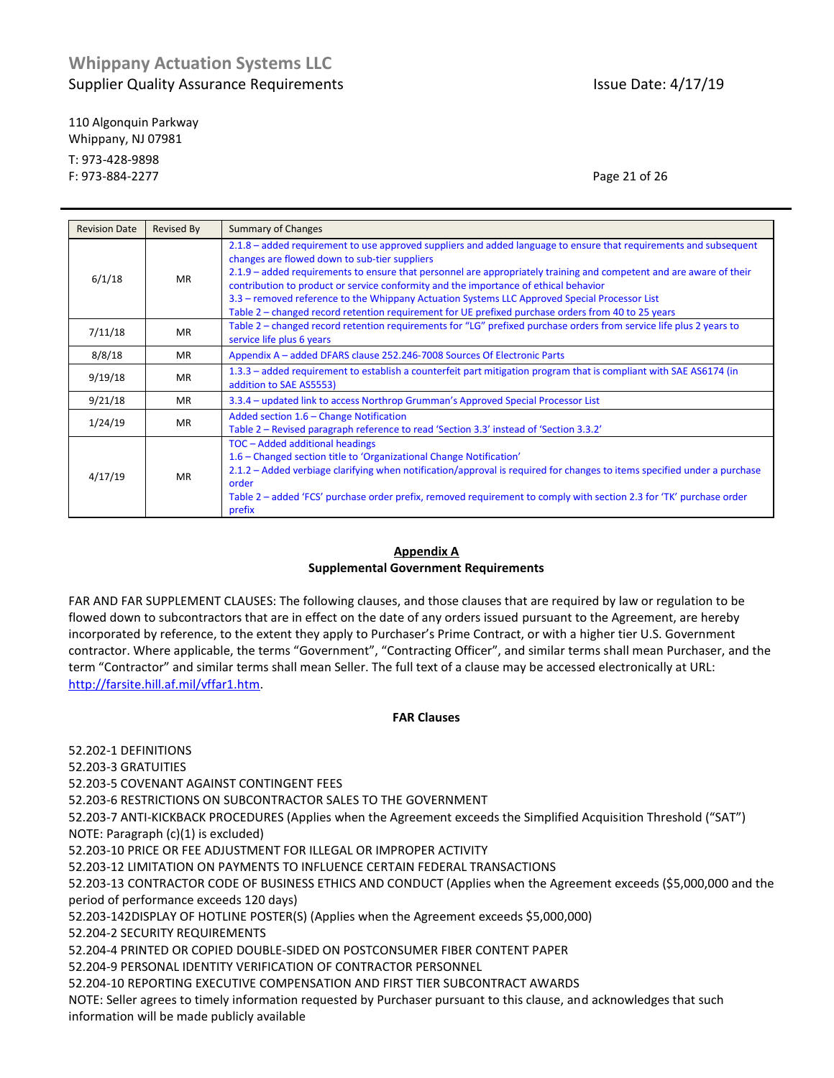110 Algonquin Parkway Whippany, NJ 07981 T: 973-428-9898 F: 973-884-2277 Page 21 of 26

| <b>Revision Date</b> | Revised By | <b>Summary of Changes</b>                                                                                                                                                                                                                                                                                                                                                                                                                                                                                                                                                                |
|----------------------|------------|------------------------------------------------------------------------------------------------------------------------------------------------------------------------------------------------------------------------------------------------------------------------------------------------------------------------------------------------------------------------------------------------------------------------------------------------------------------------------------------------------------------------------------------------------------------------------------------|
| 6/1/18               | <b>MR</b>  | 2.1.8 – added requirement to use approved suppliers and added language to ensure that requirements and subsequent<br>changes are flowed down to sub-tier suppliers<br>2.1.9 – added requirements to ensure that personnel are appropriately training and competent and are aware of their<br>contribution to product or service conformity and the importance of ethical behavior<br>3.3 – removed reference to the Whippany Actuation Systems LLC Approved Special Processor List<br>Table 2 – changed record retention requirement for UE prefixed purchase orders from 40 to 25 years |
| 7/11/18              | <b>MR</b>  | Table 2 – changed record retention requirements for "LG" prefixed purchase orders from service life plus 2 years to<br>service life plus 6 years                                                                                                                                                                                                                                                                                                                                                                                                                                         |
| 8/8/18               | <b>MR</b>  | Appendix A - added DFARS clause 252.246-7008 Sources Of Electronic Parts                                                                                                                                                                                                                                                                                                                                                                                                                                                                                                                 |
| 9/19/18              | <b>MR</b>  | 1.3.3 – added requirement to establish a counterfeit part mitigation program that is compliant with SAE AS6174 (in<br>addition to SAE AS5553)                                                                                                                                                                                                                                                                                                                                                                                                                                            |
| 9/21/18              | <b>MR</b>  | 3.3.4 - updated link to access Northrop Grumman's Approved Special Processor List                                                                                                                                                                                                                                                                                                                                                                                                                                                                                                        |
| 1/24/19              | <b>MR</b>  | Added section 1.6 - Change Notification<br>Table 2 – Revised paragraph reference to read 'Section 3.3' instead of 'Section 3.3.2'                                                                                                                                                                                                                                                                                                                                                                                                                                                        |
| 4/17/19              | MR         | TOC - Added additional headings<br>1.6 – Changed section title to 'Organizational Change Notification'<br>2.1.2 – Added verbiage clarifying when notification/approval is required for changes to items specified under a purchase<br>order<br>Table 2 – added 'FCS' purchase order prefix, removed requirement to comply with section 2.3 for 'TK' purchase order<br>prefix                                                                                                                                                                                                             |

### **Appendix A Supplemental Government Requirements**

FAR AND FAR SUPPLEMENT CLAUSES: The following clauses, and those clauses that are required by law or regulation to be flowed down to subcontractors that are in effect on the date of any orders issued pursuant to the Agreement, are hereby incorporated by reference, to the extent they apply to Purchaser's Prime Contract, or with a higher tier U.S. Government contractor. Where applicable, the terms "Government", "Contracting Officer", and similar terms shall mean Purchaser, and the term "Contractor" and similar terms shall mean Seller. The full text of a clause may be accessed electronically at URL: [http://farsite.hill.af.mil/vffar1.htm.](http://farsite.hill.af.mil/vffar1.htm)

### **FAR Clauses**

52.202-1 DEFINITIONS

52.203-3 GRATUITIES

52.203-5 COVENANT AGAINST CONTINGENT FEES

52.203-6 RESTRICTIONS ON SUBCONTRACTOR SALES TO THE GOVERNMENT

52.203-7 ANTI-KICKBACK PROCEDURES (Applies when the Agreement exceeds the Simplified Acquisition Threshold ("SAT") NOTE: Paragraph (c)(1) is excluded)

52.203-10 PRICE OR FEE ADJUSTMENT FOR ILLEGAL OR IMPROPER ACTIVITY

52.203-12 LIMITATION ON PAYMENTS TO INFLUENCE CERTAIN FEDERAL TRANSACTIONS

52.203-13 CONTRACTOR CODE OF BUSINESS ETHICS AND CONDUCT (Applies when the Agreement exceeds (\$5,000,000 and the period of performance exceeds 120 days)

52.203-142DISPLAY OF HOTLINE POSTER(S) (Applies when the Agreement exceeds \$5,000,000)

52.204-2 SECURITY REQUIREMENTS

52.204-4 PRINTED OR COPIED DOUBLE-SIDED ON POSTCONSUMER FIBER CONTENT PAPER

52.204-9 PERSONAL IDENTITY VERIFICATION OF CONTRACTOR PERSONNEL

52.204-10 REPORTING EXECUTIVE COMPENSATION AND FIRST TIER SUBCONTRACT AWARDS

NOTE: Seller agrees to timely information requested by Purchaser pursuant to this clause, and acknowledges that such information will be made publicly available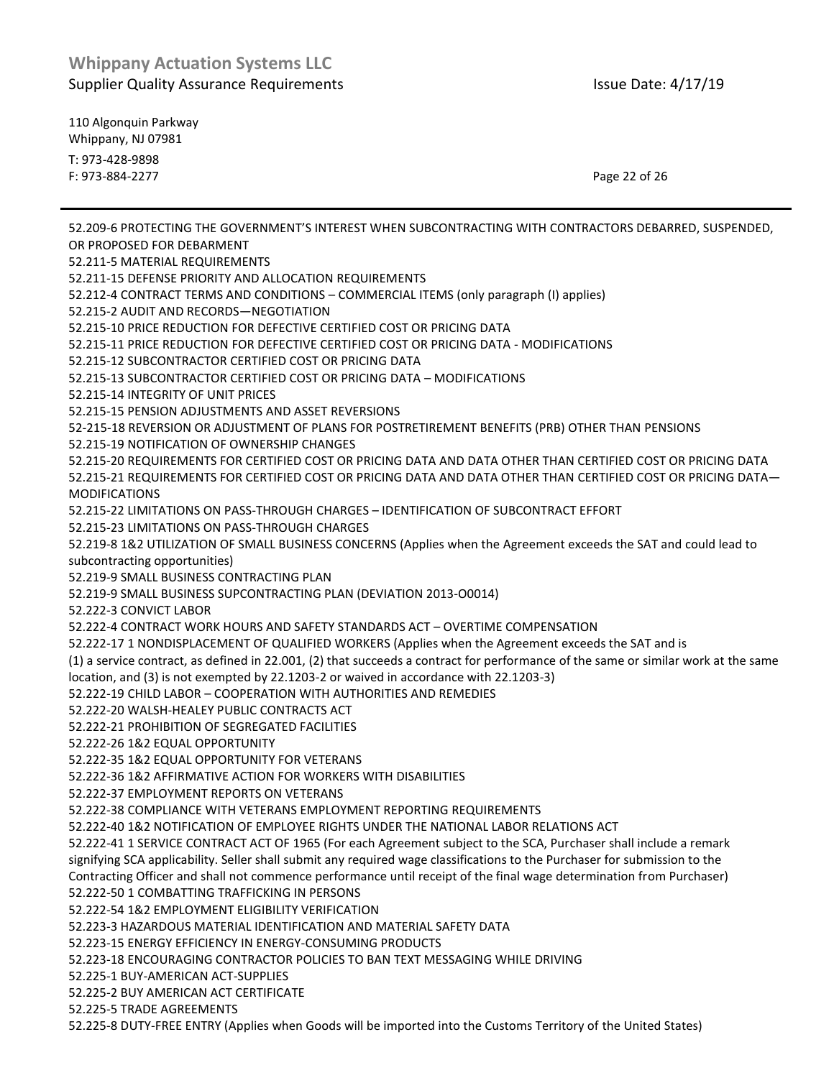110 Algonquin Parkway Whippany, NJ 07981 T: 973-428-9898 F: 973-884-2277 Page 22 of 26

52.209-6 PROTECTING THE GOVERNMENT'S INTEREST WHEN SUBCONTRACTING WITH CONTRACTORS DEBARRED, SUSPENDED, OR PROPOSED FOR DEBARMENT 52.211-5 MATERIAL REQUIREMENTS 52.211-15 DEFENSE PRIORITY AND ALLOCATION REQUIREMENTS 52.212-4 CONTRACT TERMS AND CONDITIONS – COMMERCIAL ITEMS (only paragraph (I) applies) 52.215-2 AUDIT AND RECORDS—NEGOTIATION 52.215-10 PRICE REDUCTION FOR DEFECTIVE CERTIFIED COST OR PRICING DATA 52.215-11 PRICE REDUCTION FOR DEFECTIVE CERTIFIED COST OR PRICING DATA - MODIFICATIONS 52.215-12 SUBCONTRACTOR CERTIFIED COST OR PRICING DATA 52.215-13 SUBCONTRACTOR CERTIFIED COST OR PRICING DATA – MODIFICATIONS 52.215-14 INTEGRITY OF UNIT PRICES 52.215-15 PENSION ADJUSTMENTS AND ASSET REVERSIONS 52-215-18 REVERSION OR ADJUSTMENT OF PLANS FOR POSTRETIREMENT BENEFITS (PRB) OTHER THAN PENSIONS 52.215-19 NOTIFICATION OF OWNERSHIP CHANGES 52.215-20 REQUIREMENTS FOR CERTIFIED COST OR PRICING DATA AND DATA OTHER THAN CERTIFIED COST OR PRICING DATA 52.215-21 REQUIREMENTS FOR CERTIFIED COST OR PRICING DATA AND DATA OTHER THAN CERTIFIED COST OR PRICING DATA— MODIFICATIONS 52.215-22 LIMITATIONS ON PASS-THROUGH CHARGES – IDENTIFICATION OF SUBCONTRACT EFFORT 52.215-23 LIMITATIONS ON PASS-THROUGH CHARGES 52.219-8 1&2 UTILIZATION OF SMALL BUSINESS CONCERNS (Applies when the Agreement exceeds the SAT and could lead to subcontracting opportunities) 52.219-9 SMALL BUSINESS CONTRACTING PLAN 52.219-9 SMALL BUSINESS SUPCONTRACTING PLAN (DEVIATION 2013-O0014) 52.222-3 CONVICT LABOR 52.222-4 CONTRACT WORK HOURS AND SAFETY STANDARDS ACT – OVERTIME COMPENSATION 52.222-17 1 NONDISPLACEMENT OF QUALIFIED WORKERS (Applies when the Agreement exceeds the SAT and is (1) a service contract, as defined in 22.001, (2) that succeeds a contract for performance of the same or similar work at the same location, and (3) is not exempted by 22.1203-2 or waived in accordance with 22.1203-3) 52.222-19 CHILD LABOR – COOPERATION WITH AUTHORITIES AND REMEDIES 52.222-20 WALSH-HEALEY PUBLIC CONTRACTS ACT 52.222-21 PROHIBITION OF SEGREGATED FACILITIES 52.222-26 1&2 EQUAL OPPORTUNITY 52.222-35 1&2 EQUAL OPPORTUNITY FOR VETERANS 52.222-36 1&2 AFFIRMATIVE ACTION FOR WORKERS WITH DISABILITIES 52.222-37 EMPLOYMENT REPORTS ON VETERANS 52.222-38 COMPLIANCE WITH VETERANS EMPLOYMENT REPORTING REQUIREMENTS 52.222-40 1&2 NOTIFICATION OF EMPLOYEE RIGHTS UNDER THE NATIONAL LABOR RELATIONS ACT 52.222-41 1 SERVICE CONTRACT ACT OF 1965 (For each Agreement subject to the SCA, Purchaser shall include a remark signifying SCA applicability. Seller shall submit any required wage classifications to the Purchaser for submission to the Contracting Officer and shall not commence performance until receipt of the final wage determination from Purchaser) 52.222-50 1 COMBATTING TRAFFICKING IN PERSONS 52.222-54 1&2 EMPLOYMENT ELIGIBILITY VERIFICATION 52.223-3 HAZARDOUS MATERIAL IDENTIFICATION AND MATERIAL SAFETY DATA 52.223-15 ENERGY EFFICIENCY IN ENERGY-CONSUMING PRODUCTS 52.223-18 ENCOURAGING CONTRACTOR POLICIES TO BAN TEXT MESSAGING WHILE DRIVING 52.225-1 BUY-AMERICAN ACT-SUPPLIES 52.225-2 BUY AMERICAN ACT CERTIFICATE 52.225-5 TRADE AGREEMENTS

52.225-8 DUTY-FREE ENTRY (Applies when Goods will be imported into the Customs Territory of the United States)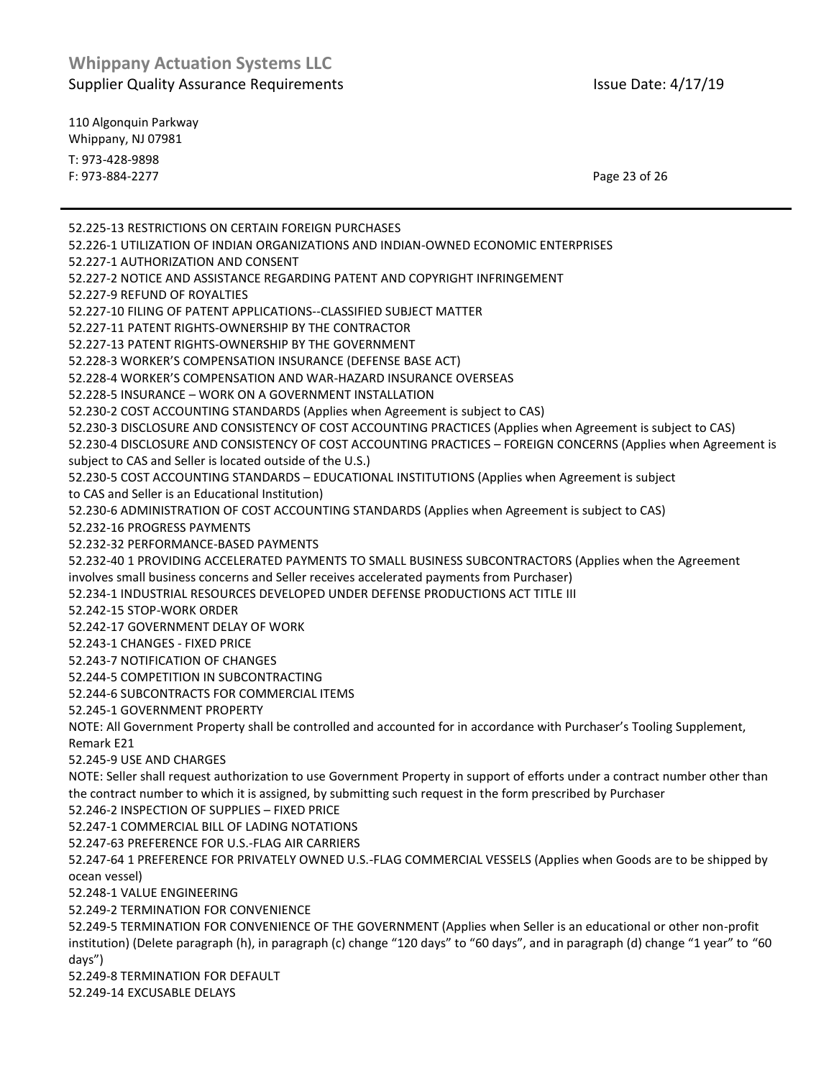110 Algonquin Parkway Whippany, NJ 07981 T: 973-428-9898 F: 973-884-2277 Page 23 of 26

52.225-13 RESTRICTIONS ON CERTAIN FOREIGN PURCHASES 52.226-1 UTILIZATION OF INDIAN ORGANIZATIONS AND INDIAN-OWNED ECONOMIC ENTERPRISES 52.227-1 AUTHORIZATION AND CONSENT 52.227-2 NOTICE AND ASSISTANCE REGARDING PATENT AND COPYRIGHT INFRINGEMENT 52.227-9 REFUND OF ROYALTIES 52.227-10 FILING OF PATENT APPLICATIONS--CLASSIFIED SUBJECT MATTER 52.227-11 PATENT RIGHTS-OWNERSHIP BY THE CONTRACTOR 52.227-13 PATENT RIGHTS-OWNERSHIP BY THE GOVERNMENT 52.228-3 WORKER'S COMPENSATION INSURANCE (DEFENSE BASE ACT) 52.228-4 WORKER'S COMPENSATION AND WAR-HAZARD INSURANCE OVERSEAS 52.228-5 INSURANCE – WORK ON A GOVERNMENT INSTALLATION 52.230-2 COST ACCOUNTING STANDARDS (Applies when Agreement is subject to CAS) 52.230-3 DISCLOSURE AND CONSISTENCY OF COST ACCOUNTING PRACTICES (Applies when Agreement is subject to CAS) 52.230-4 DISCLOSURE AND CONSISTENCY OF COST ACCOUNTING PRACTICES – FOREIGN CONCERNS (Applies when Agreement is subject to CAS and Seller is located outside of the U.S.) 52.230-5 COST ACCOUNTING STANDARDS – EDUCATIONAL INSTITUTIONS (Applies when Agreement is subject to CAS and Seller is an Educational Institution) 52.230-6 ADMINISTRATION OF COST ACCOUNTING STANDARDS (Applies when Agreement is subject to CAS) 52.232-16 PROGRESS PAYMENTS 52.232-32 PERFORMANCE-BASED PAYMENTS 52.232-40 1 PROVIDING ACCELERATED PAYMENTS TO SMALL BUSINESS SUBCONTRACTORS (Applies when the Agreement involves small business concerns and Seller receives accelerated payments from Purchaser) 52.234-1 INDUSTRIAL RESOURCES DEVELOPED UNDER DEFENSE PRODUCTIONS ACT TITLE III 52.242-15 STOP-WORK ORDER 52.242-17 GOVERNMENT DELAY OF WORK 52.243-1 CHANGES - FIXED PRICE 52.243-7 NOTIFICATION OF CHANGES 52.244-5 COMPETITION IN SUBCONTRACTING 52.244-6 SUBCONTRACTS FOR COMMERCIAL ITEMS 52.245-1 GOVERNMENT PROPERTY NOTE: All Government Property shall be controlled and accounted for in accordance with Purchaser's Tooling Supplement, Remark E21 52.245-9 USE AND CHARGES NOTE: Seller shall request authorization to use Government Property in support of efforts under a contract number other than the contract number to which it is assigned, by submitting such request in the form prescribed by Purchaser 52.246-2 INSPECTION OF SUPPLIES – FIXED PRICE 52.247-1 COMMERCIAL BILL OF LADING NOTATIONS 52.247-63 PREFERENCE FOR U.S.-FLAG AIR CARRIERS 52.247-64 1 PREFERENCE FOR PRIVATELY OWNED U.S.-FLAG COMMERCIAL VESSELS (Applies when Goods are to be shipped by ocean vessel) 52.248-1 VALUE ENGINEERING 52.249-2 TERMINATION FOR CONVENIENCE 52.249-5 TERMINATION FOR CONVENIENCE OF THE GOVERNMENT (Applies when Seller is an educational or other non-profit institution) (Delete paragraph (h), in paragraph (c) change "120 days" to "60 days", and in paragraph (d) change "1 year" to "60 days")

52.249-8 TERMINATION FOR DEFAULT

52.249-14 EXCUSABLE DELAYS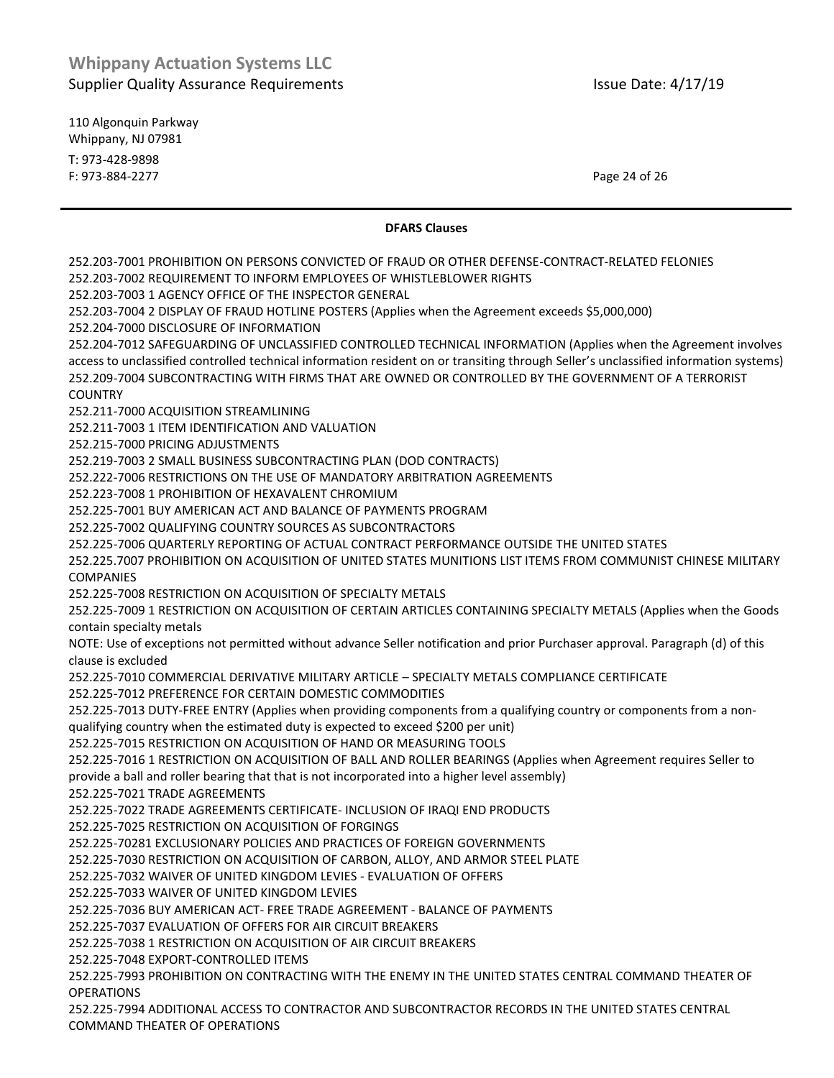110 Algonquin Parkway Whippany, NJ 07981 T: 973-428-9898 F: 973-884-2277 Page 24 of 26

#### **DFARS Clauses**

252.203-7001 PROHIBITION ON PERSONS CONVICTED OF FRAUD OR OTHER DEFENSE-CONTRACT-RELATED FELONIES

252.203-7002 REQUIREMENT TO INFORM EMPLOYEES OF WHISTLEBLOWER RIGHTS

252.203-7003 1 AGENCY OFFICE OF THE INSPECTOR GENERAL

252.203-7004 2 DISPLAY OF FRAUD HOTLINE POSTERS (Applies when the Agreement exceeds \$5,000,000)

252.204-7000 DISCLOSURE OF INFORMATION

252.204-7012 SAFEGUARDING OF UNCLASSIFIED CONTROLLED TECHNICAL INFORMATION (Applies when the Agreement involves access to unclassified controlled technical information resident on or transiting through Seller's unclassified information systems) 252.209-7004 SUBCONTRACTING WITH FIRMS THAT ARE OWNED OR CONTROLLED BY THE GOVERNMENT OF A TERRORIST COUNTRY

252.211-7000 ACQUISITION STREAMLINING

252.211-7003 1 ITEM IDENTIFICATION AND VALUATION

252.215-7000 PRICING ADJUSTMENTS

252.219-7003 2 SMALL BUSINESS SUBCONTRACTING PLAN (DOD CONTRACTS)

252.222-7006 RESTRICTIONS ON THE USE OF MANDATORY ARBITRATION AGREEMENTS

252.223-7008 1 PROHIBITION OF HEXAVALENT CHROMIUM

252.225-7001 BUY AMERICAN ACT AND BALANCE OF PAYMENTS PROGRAM

252.225-7002 QUALIFYING COUNTRY SOURCES AS SUBCONTRACTORS

252.225-7006 QUARTERLY REPORTING OF ACTUAL CONTRACT PERFORMANCE OUTSIDE THE UNITED STATES

252.225.7007 PROHIBITION ON ACQUISITION OF UNITED STATES MUNITIONS LIST ITEMS FROM COMMUNIST CHINESE MILITARY COMPANIES

252.225-7008 RESTRICTION ON ACQUISITION OF SPECIALTY METALS

252.225-7009 1 RESTRICTION ON ACQUISITION OF CERTAIN ARTICLES CONTAINING SPECIALTY METALS (Applies when the Goods contain specialty metals

NOTE: Use of exceptions not permitted without advance Seller notification and prior Purchaser approval. Paragraph (d) of this clause is excluded

252.225-7010 COMMERCIAL DERIVATIVE MILITARY ARTICLE – SPECIALTY METALS COMPLIANCE CERTIFICATE

252.225-7012 PREFERENCE FOR CERTAIN DOMESTIC COMMODITIES

252.225-7013 DUTY-FREE ENTRY (Applies when providing components from a qualifying country or components from a nonqualifying country when the estimated duty is expected to exceed \$200 per unit)

252.225-7015 RESTRICTION ON ACQUISITION OF HAND OR MEASURING TOOLS

252.225-7016 1 RESTRICTION ON ACQUISITION OF BALL AND ROLLER BEARINGS (Applies when Agreement requires Seller to provide a ball and roller bearing that that is not incorporated into a higher level assembly)

252.225-7021 TRADE AGREEMENTS

252.225-7022 TRADE AGREEMENTS CERTIFICATE- INCLUSION OF IRAQI END PRODUCTS

252.225-7025 RESTRICTION ON ACQUISITION OF FORGINGS

252.225-70281 EXCLUSIONARY POLICIES AND PRACTICES OF FOREIGN GOVERNMENTS

252.225-7030 RESTRICTION ON ACQUISITION OF CARBON, ALLOY, AND ARMOR STEEL PLATE

252.225-7032 WAIVER OF UNITED KINGDOM LEVIES - EVALUATION OF OFFERS

252.225-7033 WAIVER OF UNITED KINGDOM LEVIES

252.225-7036 BUY AMERICAN ACT- FREE TRADE AGREEMENT - BALANCE OF PAYMENTS

252.225-7037 EVALUATION OF OFFERS FOR AIR CIRCUIT BREAKERS

252.225-7038 1 RESTRICTION ON ACQUISITION OF AIR CIRCUIT BREAKERS

252.225-7048 EXPORT-CONTROLLED ITEMS

252.225-7993 PROHIBITION ON CONTRACTING WITH THE ENEMY IN THE UNITED STATES CENTRAL COMMAND THEATER OF **OPERATIONS** 

252.225-7994 ADDITIONAL ACCESS TO CONTRACTOR AND SUBCONTRACTOR RECORDS IN THE UNITED STATES CENTRAL COMMAND THEATER OF OPERATIONS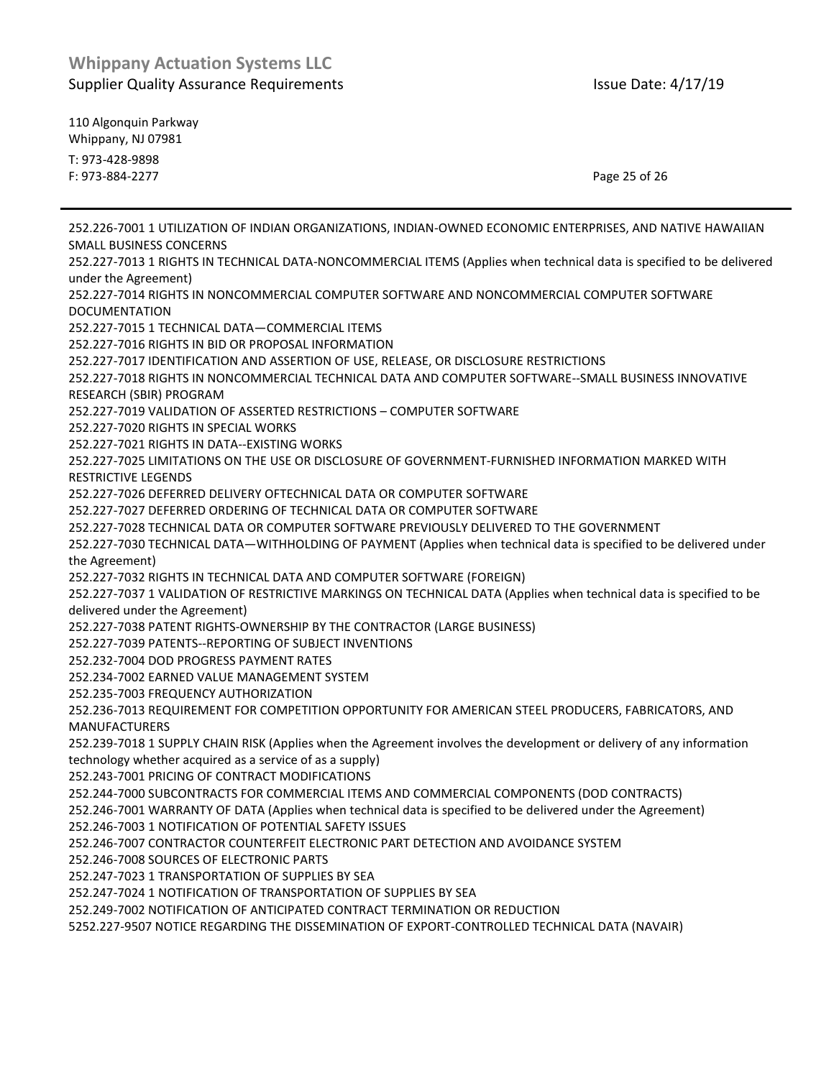110 Algonquin Parkway Whippany, NJ 07981 T: 973-428-9898 F: 973-884-2277 Page 25 of 26

252.226-7001 1 UTILIZATION OF INDIAN ORGANIZATIONS, INDIAN-OWNED ECONOMIC ENTERPRISES, AND NATIVE HAWAIIAN SMALL BUSINESS CONCERNS 252.227-7013 1 RIGHTS IN TECHNICAL DATA-NONCOMMERCIAL ITEMS (Applies when technical data is specified to be delivered under the Agreement) 252.227-7014 RIGHTS IN NONCOMMERCIAL COMPUTER SOFTWARE AND NONCOMMERCIAL COMPUTER SOFTWARE DOCUMENTATION 252.227-7015 1 TECHNICAL DATA—COMMERCIAL ITEMS 252.227-7016 RIGHTS IN BID OR PROPOSAL INFORMATION 252.227-7017 IDENTIFICATION AND ASSERTION OF USE, RELEASE, OR DISCLOSURE RESTRICTIONS 252.227-7018 RIGHTS IN NONCOMMERCIAL TECHNICAL DATA AND COMPUTER SOFTWARE--SMALL BUSINESS INNOVATIVE RESEARCH (SBIR) PROGRAM 252.227-7019 VALIDATION OF ASSERTED RESTRICTIONS – COMPUTER SOFTWARE 252.227-7020 RIGHTS IN SPECIAL WORKS 252.227-7021 RIGHTS IN DATA--EXISTING WORKS 252.227-7025 LIMITATIONS ON THE USE OR DISCLOSURE OF GOVERNMENT-FURNISHED INFORMATION MARKED WITH RESTRICTIVE LEGENDS 252.227-7026 DEFERRED DELIVERY OFTECHNICAL DATA OR COMPUTER SOFTWARE 252.227-7027 DEFERRED ORDERING OF TECHNICAL DATA OR COMPUTER SOFTWARE 252.227-7028 TECHNICAL DATA OR COMPUTER SOFTWARE PREVIOUSLY DELIVERED TO THE GOVERNMENT 252.227-7030 TECHNICAL DATA—WITHHOLDING OF PAYMENT (Applies when technical data is specified to be delivered under the Agreement) 252.227-7032 RIGHTS IN TECHNICAL DATA AND COMPUTER SOFTWARE (FOREIGN) 252.227-7037 1 VALIDATION OF RESTRICTIVE MARKINGS ON TECHNICAL DATA (Applies when technical data is specified to be delivered under the Agreement) 252.227-7038 PATENT RIGHTS-OWNERSHIP BY THE CONTRACTOR (LARGE BUSINESS) 252.227-7039 PATENTS--REPORTING OF SUBJECT INVENTIONS 252.232-7004 DOD PROGRESS PAYMENT RATES 252.234-7002 EARNED VALUE MANAGEMENT SYSTEM 252.235-7003 FREQUENCY AUTHORIZATION 252.236-7013 REQUIREMENT FOR COMPETITION OPPORTUNITY FOR AMERICAN STEEL PRODUCERS, FABRICATORS, AND MANUFACTURERS 252.239-7018 1 SUPPLY CHAIN RISK (Applies when the Agreement involves the development or delivery of any information technology whether acquired as a service of as a supply) 252.243-7001 PRICING OF CONTRACT MODIFICATIONS 252.244-7000 SUBCONTRACTS FOR COMMERCIAL ITEMS AND COMMERCIAL COMPONENTS (DOD CONTRACTS) 252.246-7001 WARRANTY OF DATA (Applies when technical data is specified to be delivered under the Agreement) 252.246-7003 1 NOTIFICATION OF POTENTIAL SAFETY ISSUES 252.246-7007 CONTRACTOR COUNTERFEIT ELECTRONIC PART DETECTION AND AVOIDANCE SYSTEM 252.246-7008 SOURCES OF ELECTRONIC PARTS 252.247-7023 1 TRANSPORTATION OF SUPPLIES BY SEA 252.247-7024 1 NOTIFICATION OF TRANSPORTATION OF SUPPLIES BY SEA 252.249-7002 NOTIFICATION OF ANTICIPATED CONTRACT TERMINATION OR REDUCTION 5252.227-9507 NOTICE REGARDING THE DISSEMINATION OF EXPORT-CONTROLLED TECHNICAL DATA (NAVAIR)